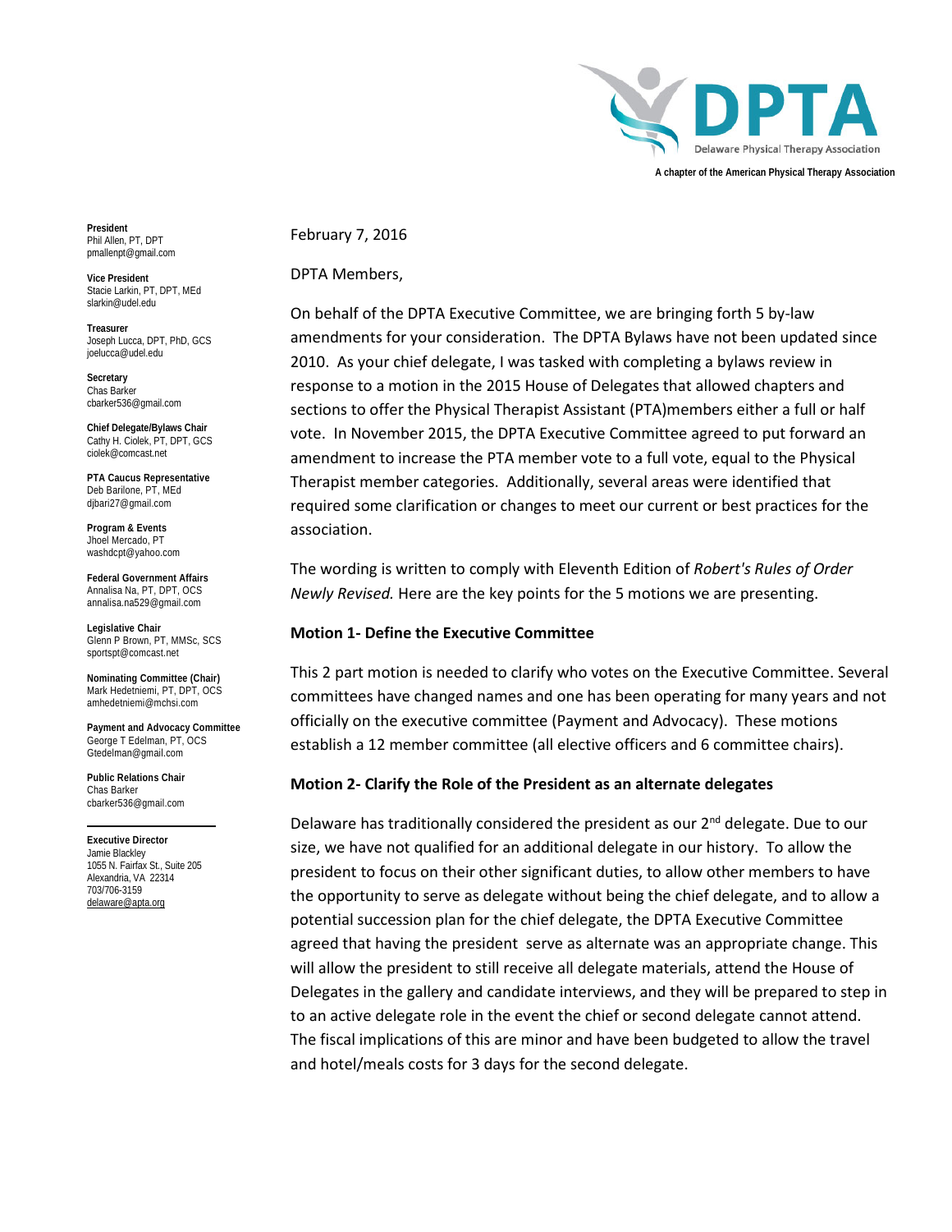

**President** Phil Allen, PT, DPT pmallenpt@gmail.com

**Vice President** Stacie Larkin, PT, DPT, MEd slarkin@udel.edu

**Treasurer** Joseph Lucca, DPT, PhD, GCS joelucca@udel.edu

**Secretary** Chas Barker cbarker536@gmail.com

**Chief Delegate/Bylaws Chair** Cathy H. Ciolek, PT, DPT, GCS ciolek@comcast.net

**PTA Caucus Representative** Deb Barilone, PT, MEd dibari27@gmail.com

**Program & Events**  Jhoel Mercado, PT washdcpt@yahoo.com

**Federal Government Affairs** Annalisa Na, PT, DPT, OCS annalisa.na529@gmail.com

**Legislative Chair** Glenn P Brown, PT, MMSc, SCS sportspt@comcast.net

**Nominating Committee (Chair)** Mark Hedetniemi, PT, DPT, OCS amhedetniemi@mchsi.com

**Payment and Advocacy Committee** George T Edelman, PT, OCS Gtedelman@gmail.com

**Public Relations Chair** Chas Barker cbarker536@gmail.com

**Executive Director** Jamie Blackley 1055 N. Fairfax St., Suite 205 Alexandria, VA 22314 703/706-3159 [delaware@apta.org](mailto:delaware@apta.org) 

February 7, 2016

DPTA Members,

On behalf of the DPTA Executive Committee, we are bringing forth 5 by-law amendments for your consideration. The DPTA Bylaws have not been updated since 2010. As your chief delegate, I was tasked with completing a bylaws review in response to a motion in the 2015 House of Delegates that allowed chapters and sections to offer the Physical Therapist Assistant (PTA)members either a full or half vote. In November 2015, the DPTA Executive Committee agreed to put forward an amendment to increase the PTA member vote to a full vote, equal to the Physical Therapist member categories. Additionally, several areas were identified that required some clarification or changes to meet our current or best practices for the association.

The wording is written to comply with Eleventh Edition of *Robert's Rules of Order Newly Revised.* Here are the key points for the 5 motions we are presenting.

#### **Motion 1- Define the Executive Committee**

This 2 part motion is needed to clarify who votes on the Executive Committee. Several committees have changed names and one has been operating for many years and not officially on the executive committee (Payment and Advocacy). These motions establish a 12 member committee (all elective officers and 6 committee chairs).

## **Motion 2- Clarify the Role of the President as an alternate delegates**

Delaware has traditionally considered the president as our 2<sup>nd</sup> delegate. Due to our size, we have not qualified for an additional delegate in our history. To allow the president to focus on their other significant duties, to allow other members to have the opportunity to serve as delegate without being the chief delegate, and to allow a potential succession plan for the chief delegate, the DPTA Executive Committee agreed that having the president serve as alternate was an appropriate change. This will allow the president to still receive all delegate materials, attend the House of Delegates in the gallery and candidate interviews, and they will be prepared to step in to an active delegate role in the event the chief or second delegate cannot attend. The fiscal implications of this are minor and have been budgeted to allow the travel and hotel/meals costs for 3 days for the second delegate.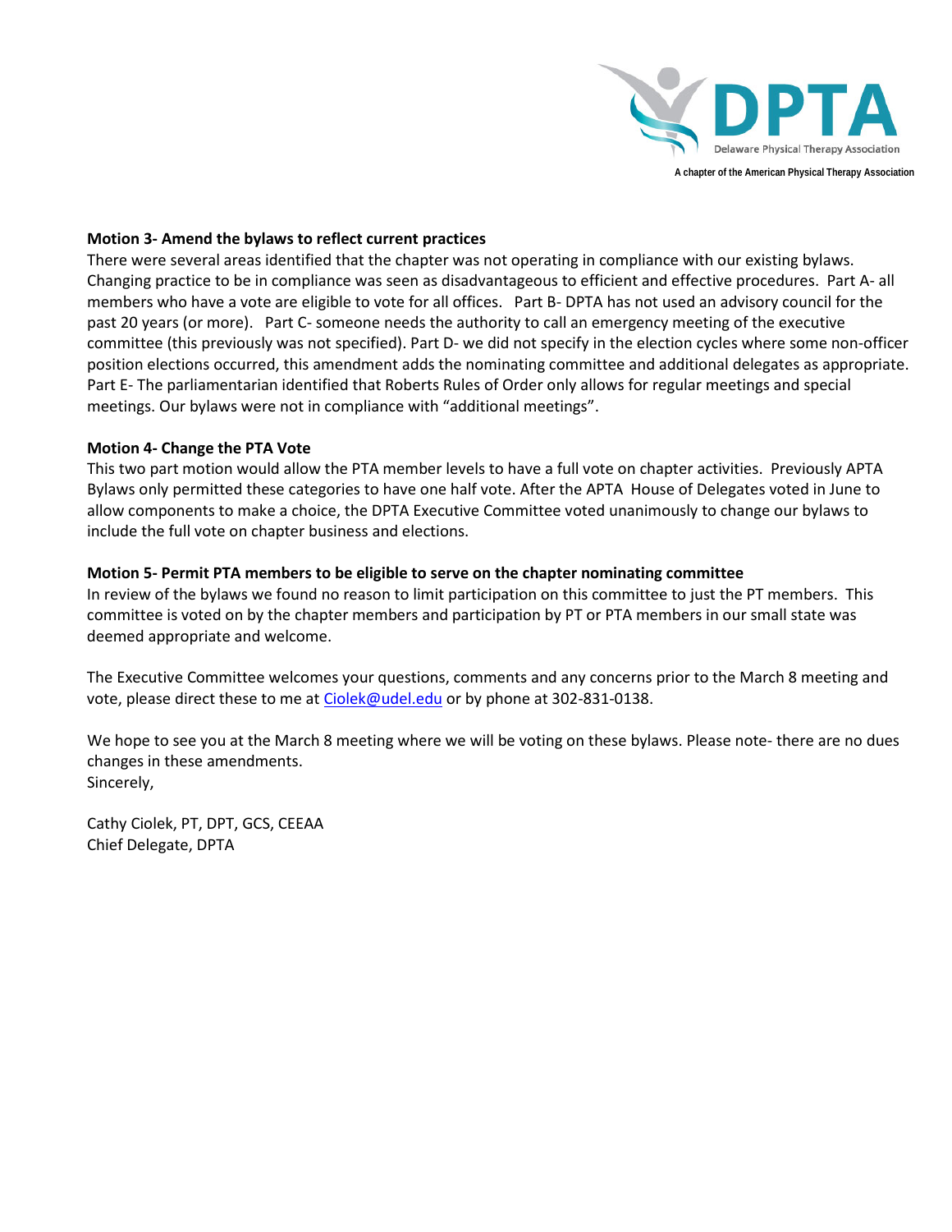

## **Motion 3- Amend the bylaws to reflect current practices**

There were several areas identified that the chapter was not operating in compliance with our existing bylaws. Changing practice to be in compliance was seen as disadvantageous to efficient and effective procedures. Part A- all members who have a vote are eligible to vote for all offices. Part B- DPTA has not used an advisory council for the past 20 years (or more). Part C- someone needs the authority to call an emergency meeting of the executive committee (this previously was not specified). Part D- we did not specify in the election cycles where some non-officer position elections occurred, this amendment adds the nominating committee and additional delegates as appropriate. Part E- The parliamentarian identified that Roberts Rules of Order only allows for regular meetings and special meetings. Our bylaws were not in compliance with "additional meetings".

## **Motion 4- Change the PTA Vote**

This two part motion would allow the PTA member levels to have a full vote on chapter activities. Previously APTA Bylaws only permitted these categories to have one half vote. After the APTA House of Delegates voted in June to allow components to make a choice, the DPTA Executive Committee voted unanimously to change our bylaws to include the full vote on chapter business and elections.

## **Motion 5- Permit PTA members to be eligible to serve on the chapter nominating committee**

In review of the bylaws we found no reason to limit participation on this committee to just the PT members. This committee is voted on by the chapter members and participation by PT or PTA members in our small state was deemed appropriate and welcome.

The Executive Committee welcomes your questions, comments and any concerns prior to the March 8 meeting and vote, please direct these to me at [Ciolek@udel.edu](mailto:Ciolek@udel.edu) or by phone at 302-831-0138.

We hope to see you at the March 8 meeting where we will be voting on these bylaws. Please note- there are no dues changes in these amendments. Sincerely,

Cathy Ciolek, PT, DPT, GCS, CEEAA Chief Delegate, DPTA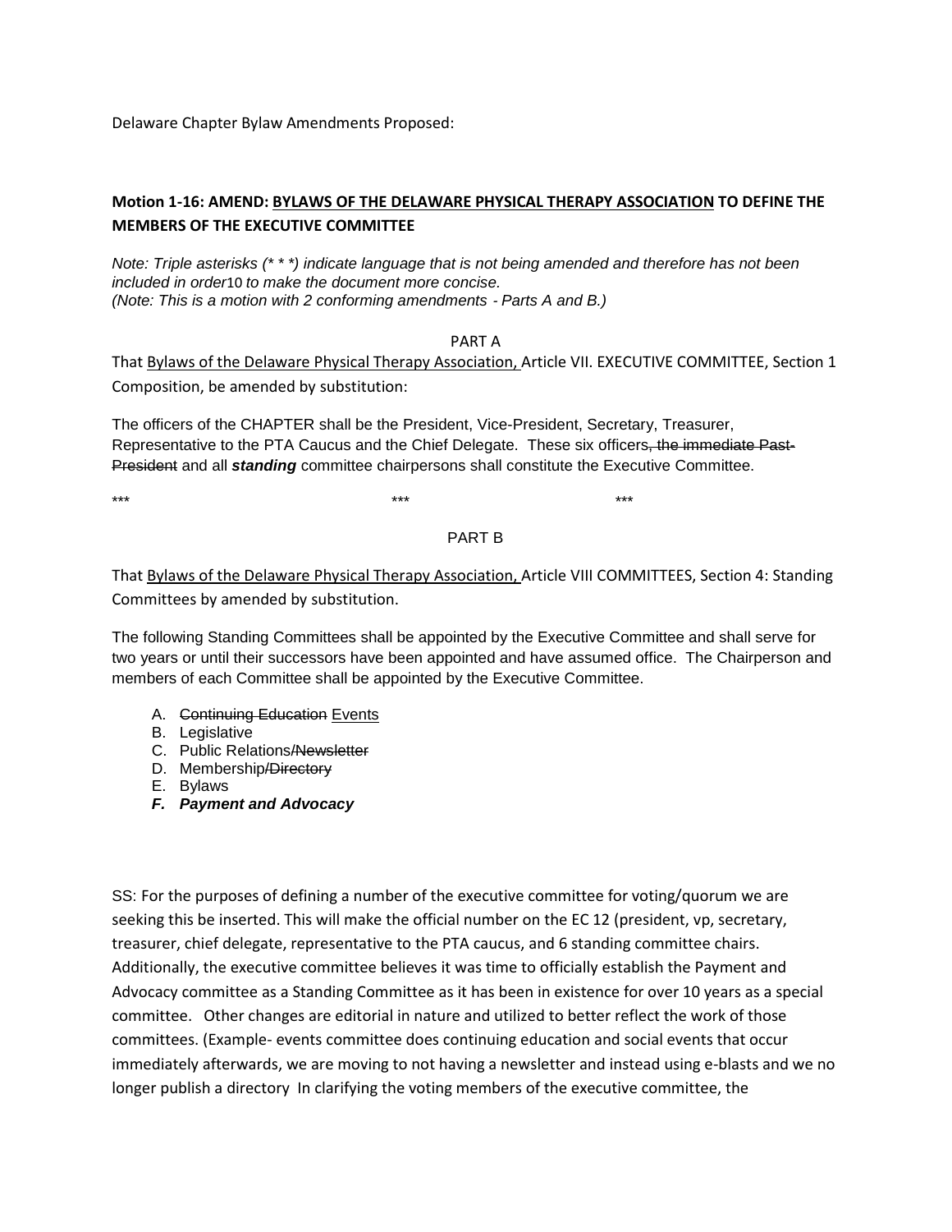Delaware Chapter Bylaw Amendments Proposed:

## **Motion 1-16: AMEND: BYLAWS OF THE DELAWARE PHYSICAL THERAPY ASSOCIATION TO DEFINE THE MEMBERS OF THE EXECUTIVE COMMITTEE**

*Note: Triple asterisks (\* \* \*) indicate language that is not being amended and therefore has not been included in order*10 *to make the document more concise. (Note: This is a motion with 2 conforming amendments - Parts A and B.)* 

PART A

That Bylaws of the Delaware Physical Therapy Association, Article VII. EXECUTIVE COMMITTEE, Section 1 Composition, be amended by substitution:

The officers of the CHAPTER shall be the President, Vice-President, Secretary, Treasurer, Representative to the PTA Caucus and the Chief Delegate. These six officers, the immediate Past-President and all *standing* committee chairpersons shall constitute the Executive Committee.

\*\*\* \*\*\* \*\*\*

PART B

That Bylaws of the Delaware Physical Therapy Association, Article VIII COMMITTEES, Section 4: Standing Committees by amended by substitution.

The following Standing Committees shall be appointed by the Executive Committee and shall serve for two years or until their successors have been appointed and have assumed office. The Chairperson and members of each Committee shall be appointed by the Executive Committee.

- A. Continuing Education Events
- B. Legislative
- C. Public Relations/Newsletter
- D. Membership/Directory
- E. Bylaws
- *F. Payment and Advocacy*

SS: For the purposes of defining a number of the executive committee for voting/quorum we are seeking this be inserted. This will make the official number on the EC 12 (president, vp, secretary, treasurer, chief delegate, representative to the PTA caucus, and 6 standing committee chairs. Additionally, the executive committee believes it was time to officially establish the Payment and Advocacy committee as a Standing Committee as it has been in existence for over 10 years as a special committee. Other changes are editorial in nature and utilized to better reflect the work of those committees. (Example- events committee does continuing education and social events that occur immediately afterwards, we are moving to not having a newsletter and instead using e-blasts and we no longer publish a directory In clarifying the voting members of the executive committee, the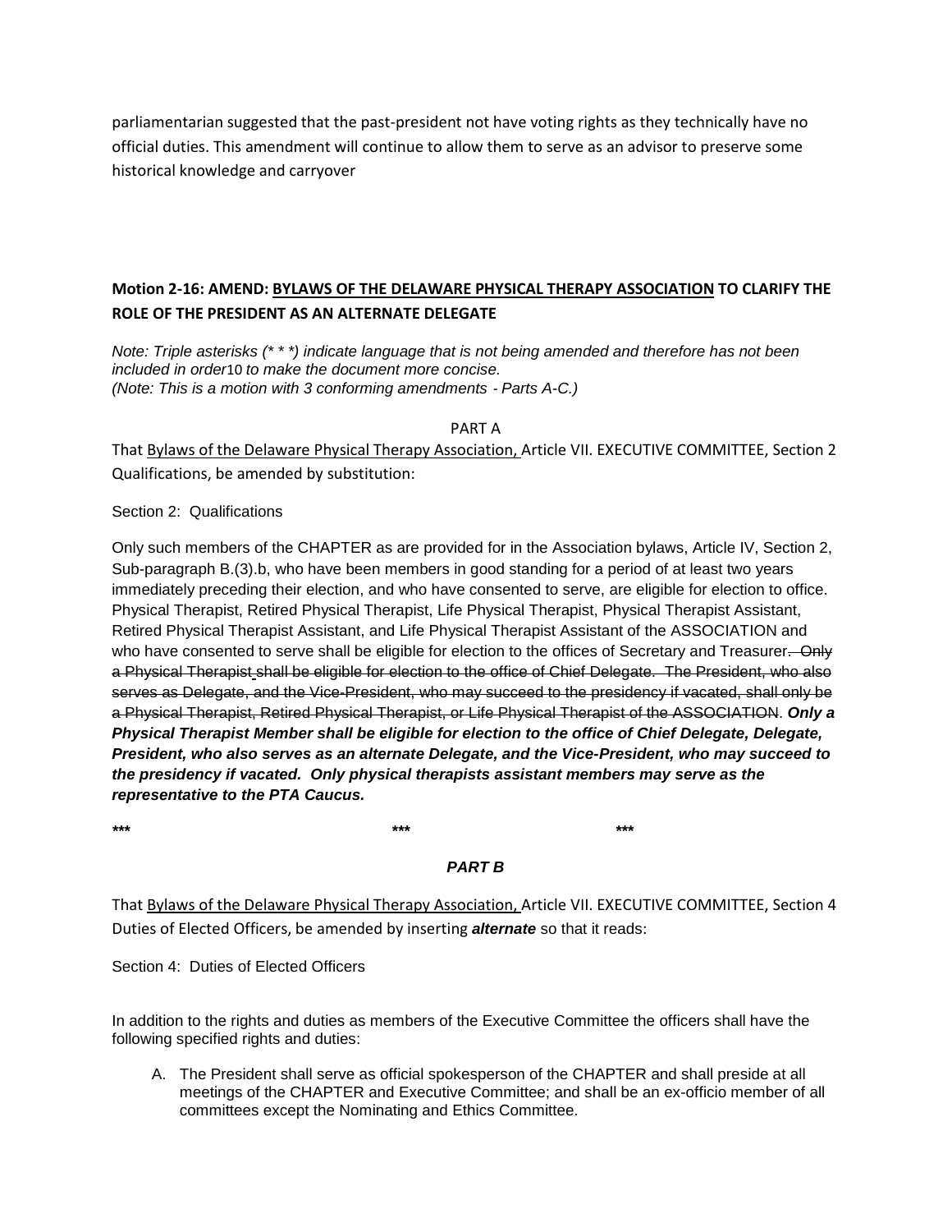parliamentarian suggested that the past-president not have voting rights as they technically have no official duties. This amendment will continue to allow them to serve as an advisor to preserve some historical knowledge and carryover

# **Motion 2-16: AMEND: BYLAWS OF THE DELAWARE PHYSICAL THERAPY ASSOCIATION TO CLARIFY THE ROLE OF THE PRESIDENT AS AN ALTERNATE DELEGATE**

*Note: Triple asterisks (\* \* \*) indicate language that is not being amended and therefore has not been included in order*10 *to make the document more concise. (Note: This is a motion with 3 conforming amendments* ‐ *Parts A-C.)*

PART A

That Bylaws of the Delaware Physical Therapy Association, Article VII. EXECUTIVE COMMITTEE, Section 2 Qualifications, be amended by substitution:

Section 2: Qualifications

Only such members of the CHAPTER as are provided for in the Association bylaws, Article IV, Section 2, Sub-paragraph B.(3).b, who have been members in good standing for a period of at least two years immediately preceding their election, and who have consented to serve, are eligible for election to office. Physical Therapist, Retired Physical Therapist, Life Physical Therapist, Physical Therapist Assistant, Retired Physical Therapist Assistant, and Life Physical Therapist Assistant of the ASSOCIATION and who have consented to serve shall be eligible for election to the offices of Secretary and Treasurer. Only a Physical Therapist shall be eligible for election to the office of Chief Delegate. The President, who also serves as Delegate, and the Vice-President, who may succeed to the presidency if vacated, shall only be a Physical Therapist, Retired Physical Therapist, or Life Physical Therapist of the ASSOCIATION. *Only a Physical Therapist Member shall be eligible for election to the office of Chief Delegate, Delegate, President, who also serves as an alternate Delegate, and the Vice-President, who may succeed to the presidency if vacated. Only physical therapists assistant members may serve as the representative to the PTA Caucus.*

*\*\*\* \*\*\* \*\*\**

# *PART B*

That Bylaws of the Delaware Physical Therapy Association, Article VII. EXECUTIVE COMMITTEE, Section 4 Duties of Elected Officers, be amended by inserting *alternate* so that it reads:

Section 4: Duties of Elected Officers

In addition to the rights and duties as members of the Executive Committee the officers shall have the following specified rights and duties:

A. The President shall serve as official spokesperson of the CHAPTER and shall preside at all meetings of the CHAPTER and Executive Committee; and shall be an ex-officio member of all committees except the Nominating and Ethics Committee.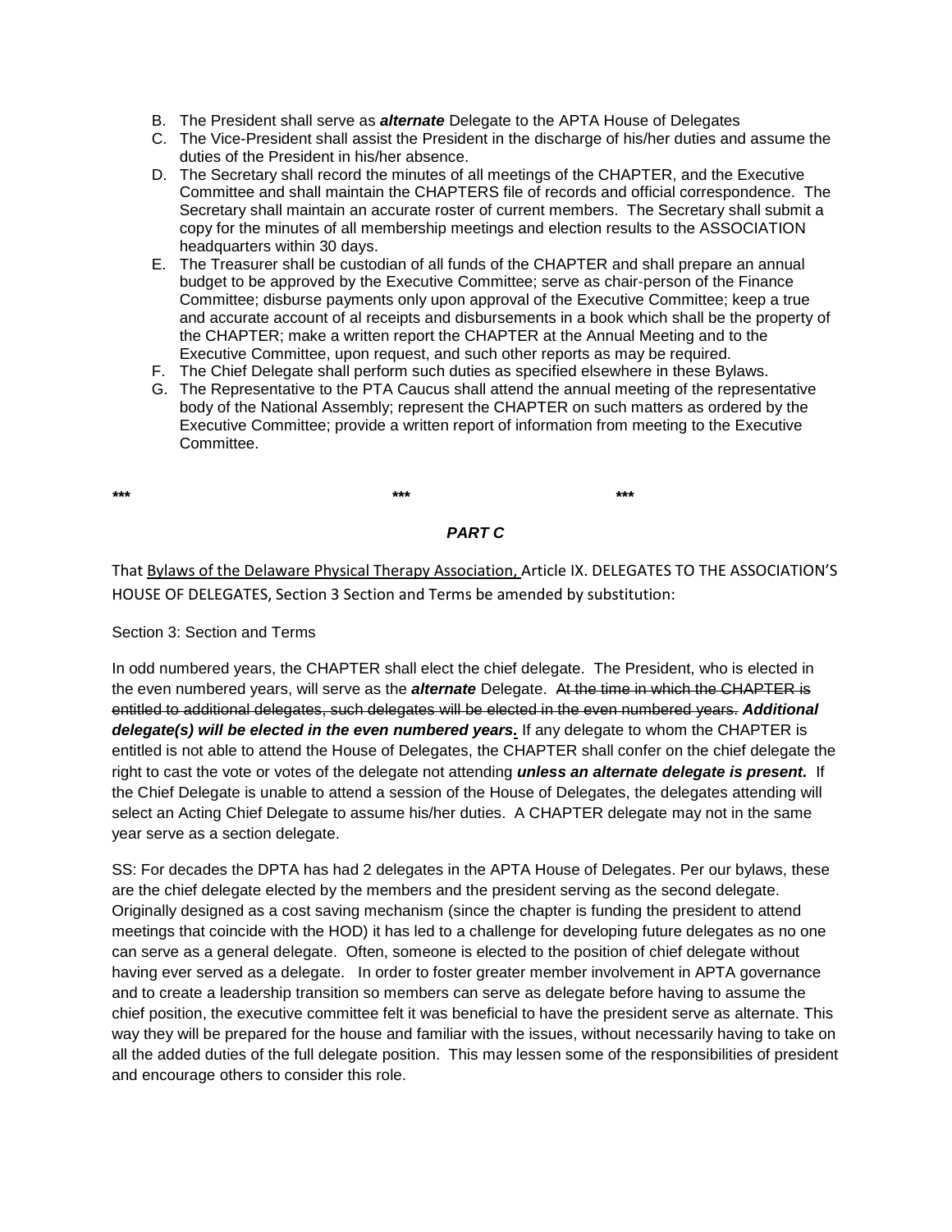- B. The President shall serve as *alternate* Delegate to the APTA House of Delegates
- C. The Vice-President shall assist the President in the discharge of his/her duties and assume the duties of the President in his/her absence.
- D. The Secretary shall record the minutes of all meetings of the CHAPTER, and the Executive Committee and shall maintain the CHAPTERS file of records and official correspondence. The Secretary shall maintain an accurate roster of current members. The Secretary shall submit a copy for the minutes of all membership meetings and election results to the ASSOCIATION headquarters within 30 days.
- E. The Treasurer shall be custodian of all funds of the CHAPTER and shall prepare an annual budget to be approved by the Executive Committee; serve as chair-person of the Finance Committee; disburse payments only upon approval of the Executive Committee; keep a true and accurate account of al receipts and disbursements in a book which shall be the property of the CHAPTER; make a written report the CHAPTER at the Annual Meeting and to the Executive Committee, upon request, and such other reports as may be required.
- F. The Chief Delegate shall perform such duties as specified elsewhere in these Bylaws.
- G. The Representative to the PTA Caucus shall attend the annual meeting of the representative body of the National Assembly; represent the CHAPTER on such matters as ordered by the Executive Committee; provide a written report of information from meeting to the Executive Committee.

*\*\*\* \*\*\* \*\*\**

## *PART C*

That Bylaws of the Delaware Physical Therapy Association, Article IX. DELEGATES TO THE ASSOCIATION'S HOUSE OF DELEGATES, Section 3 Section and Terms be amended by substitution:

#### Section 3: Section and Terms

In odd numbered years, the CHAPTER shall elect the chief delegate. The President, who is elected in the even numbered years, will serve as the *alternate* Delegate. At the time in which the CHAPTER is entitled to additional delegates, such delegates will be elected in the even numbered years. *Additional delegate(s) will be elected in the even numbered years.* If any delegate to whom the CHAPTER is entitled is not able to attend the House of Delegates, the CHAPTER shall confer on the chief delegate the right to cast the vote or votes of the delegate not attending *unless an alternate delegate is present.* If the Chief Delegate is unable to attend a session of the House of Delegates, the delegates attending will select an Acting Chief Delegate to assume his/her duties. A CHAPTER delegate may not in the same year serve as a section delegate.

SS: For decades the DPTA has had 2 delegates in the APTA House of Delegates. Per our bylaws, these are the chief delegate elected by the members and the president serving as the second delegate. Originally designed as a cost saving mechanism (since the chapter is funding the president to attend meetings that coincide with the HOD) it has led to a challenge for developing future delegates as no one can serve as a general delegate. Often, someone is elected to the position of chief delegate without having ever served as a delegate. In order to foster greater member involvement in APTA governance and to create a leadership transition so members can serve as delegate before having to assume the chief position, the executive committee felt it was beneficial to have the president serve as alternate. This way they will be prepared for the house and familiar with the issues, without necessarily having to take on all the added duties of the full delegate position. This may lessen some of the responsibilities of president and encourage others to consider this role.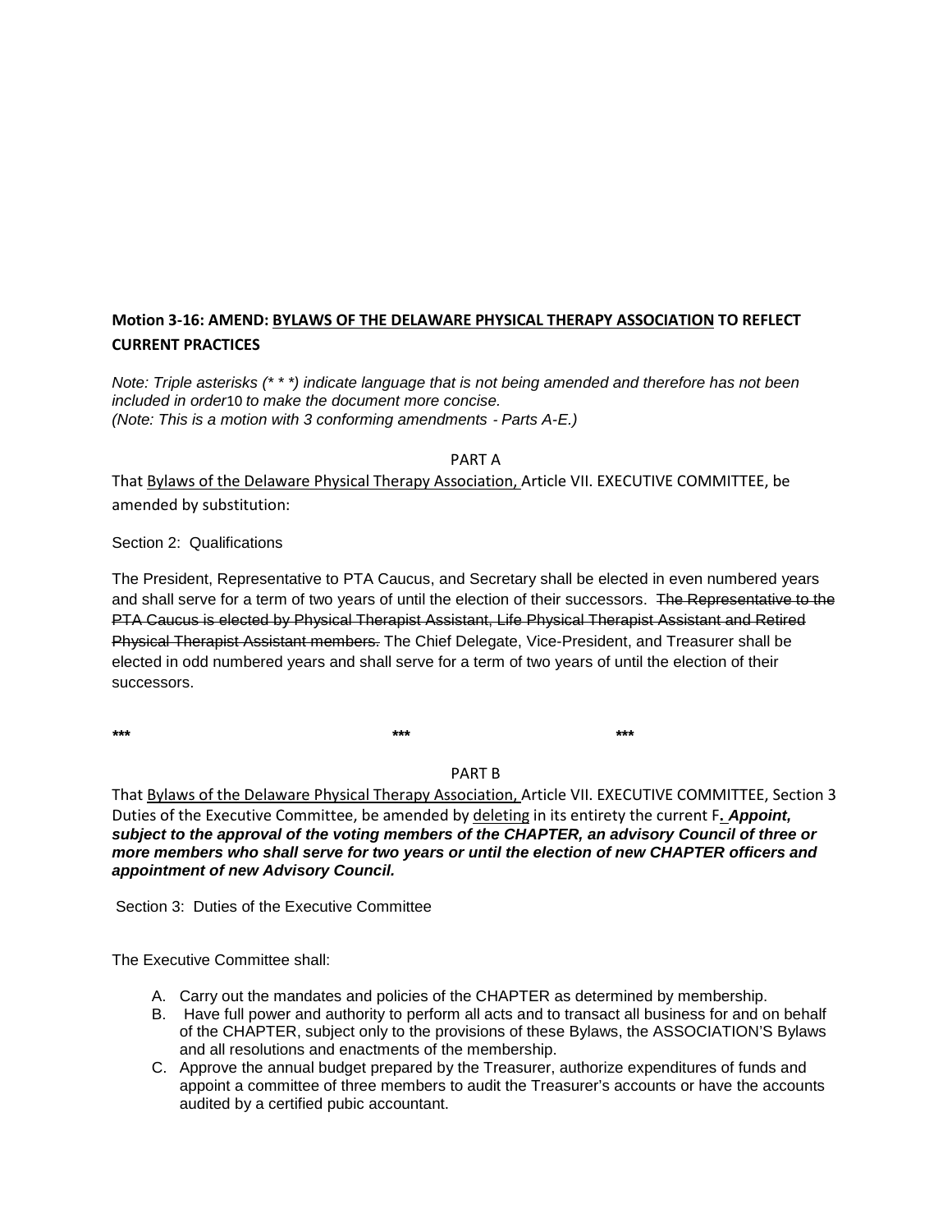# **Motion 3-16: AMEND: BYLAWS OF THE DELAWARE PHYSICAL THERAPY ASSOCIATION TO REFLECT CURRENT PRACTICES**

*Note: Triple asterisks (\* \* \*) indicate language that is not being amended and therefore has not been included in order*10 *to make the document more concise. (Note: This is a motion with 3 conforming amendments* ‐ *Parts A-E.)*

PART A

That Bylaws of the Delaware Physical Therapy Association, Article VII. EXECUTIVE COMMITTEE, be amended by substitution:

## Section 2: Qualifications

The President, Representative to PTA Caucus, and Secretary shall be elected in even numbered years and shall serve for a term of two years of until the election of their successors. The Representative to the PTA Caucus is elected by Physical Therapist Assistant, Life Physical Therapist Assistant and Retired Physical Therapist Assistant members. The Chief Delegate, Vice-President, and Treasurer shall be elected in odd numbered years and shall serve for a term of two years of until the election of their successors.

*\*\*\* \*\*\* \*\*\**

PART B

That Bylaws of the Delaware Physical Therapy Association, Article VII. EXECUTIVE COMMITTEE, Section 3 Duties of the Executive Committee, be amended by deleting in its entirety the current F**.** *Appoint, subject to the approval of the voting members of the CHAPTER, an advisory Council of three or more members who shall serve for two years or until the election of new CHAPTER officers and appointment of new Advisory Council.* 

Section 3: Duties of the Executive Committee

The Executive Committee shall:

- A. Carry out the mandates and policies of the CHAPTER as determined by membership.
- B. Have full power and authority to perform all acts and to transact all business for and on behalf of the CHAPTER, subject only to the provisions of these Bylaws, the ASSOCIATION'S Bylaws and all resolutions and enactments of the membership.
- C. Approve the annual budget prepared by the Treasurer, authorize expenditures of funds and appoint a committee of three members to audit the Treasurer's accounts or have the accounts audited by a certified pubic accountant.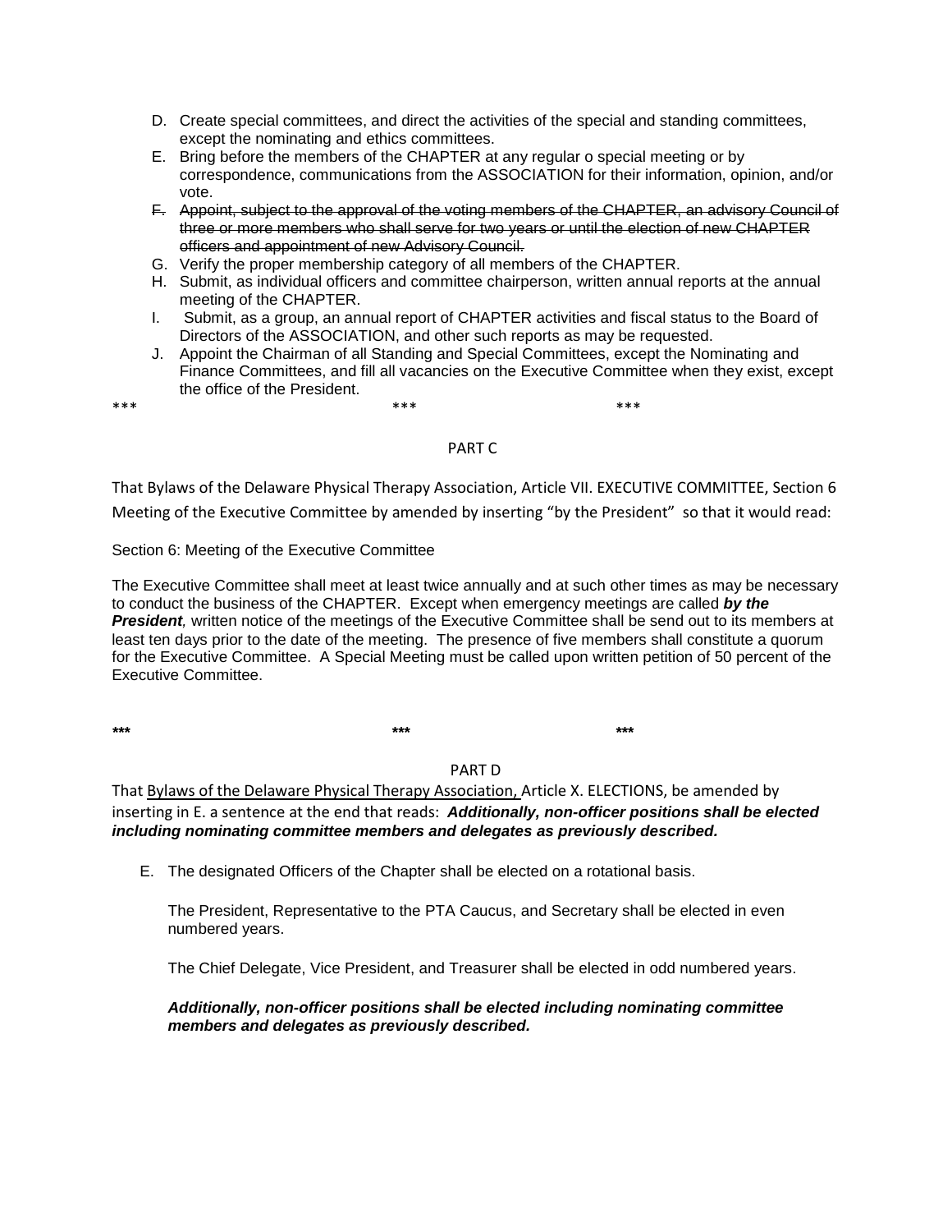- D. Create special committees, and direct the activities of the special and standing committees, except the nominating and ethics committees.
- E. Bring before the members of the CHAPTER at any regular o special meeting or by correspondence, communications from the ASSOCIATION for their information, opinion, and/or vote.
- F. Appoint, subject to the approval of the voting members of the CHAPTER, an advisory Council of three or more members who shall serve for two years or until the election of new CHAPTER officers and appointment of new Advisory Council.
- G. Verify the proper membership category of all members of the CHAPTER.
- H. Submit, as individual officers and committee chairperson, written annual reports at the annual meeting of the CHAPTER.
- I. Submit, as a group, an annual report of CHAPTER activities and fiscal status to the Board of Directors of the ASSOCIATION, and other such reports as may be requested.
- J. Appoint the Chairman of all Standing and Special Committees, except the Nominating and Finance Committees, and fill all vacancies on the Executive Committee when they exist, except the office of the President.

\*\*\* \*\*\* \*\*\*

## PART C

That Bylaws of the Delaware Physical Therapy Association, Article VII. EXECUTIVE COMMITTEE, Section 6 Meeting of the Executive Committee by amended by inserting "by the President" so that it would read:

## Section 6: Meeting of the Executive Committee

The Executive Committee shall meet at least twice annually and at such other times as may be necessary to conduct the business of the CHAPTER. Except when emergency meetings are called *by the*  **President**, written notice of the meetings of the Executive Committee shall be send out to its members at least ten days prior to the date of the meeting. The presence of five members shall constitute a quorum for the Executive Committee. A Special Meeting must be called upon written petition of 50 percent of the Executive Committee.

*\*\*\* \*\*\* \*\*\**

# PART D

That Bylaws of the Delaware Physical Therapy Association, Article X. ELECTIONS, be amended by inserting in E. a sentence at the end that reads: *Additionally, non-officer positions shall be elected including nominating committee members and delegates as previously described.*

E. The designated Officers of the Chapter shall be elected on a rotational basis.

The President, Representative to the PTA Caucus, and Secretary shall be elected in even numbered years.

The Chief Delegate, Vice President, and Treasurer shall be elected in odd numbered years.

## *Additionally, non-officer positions shall be elected including nominating committee members and delegates as previously described.*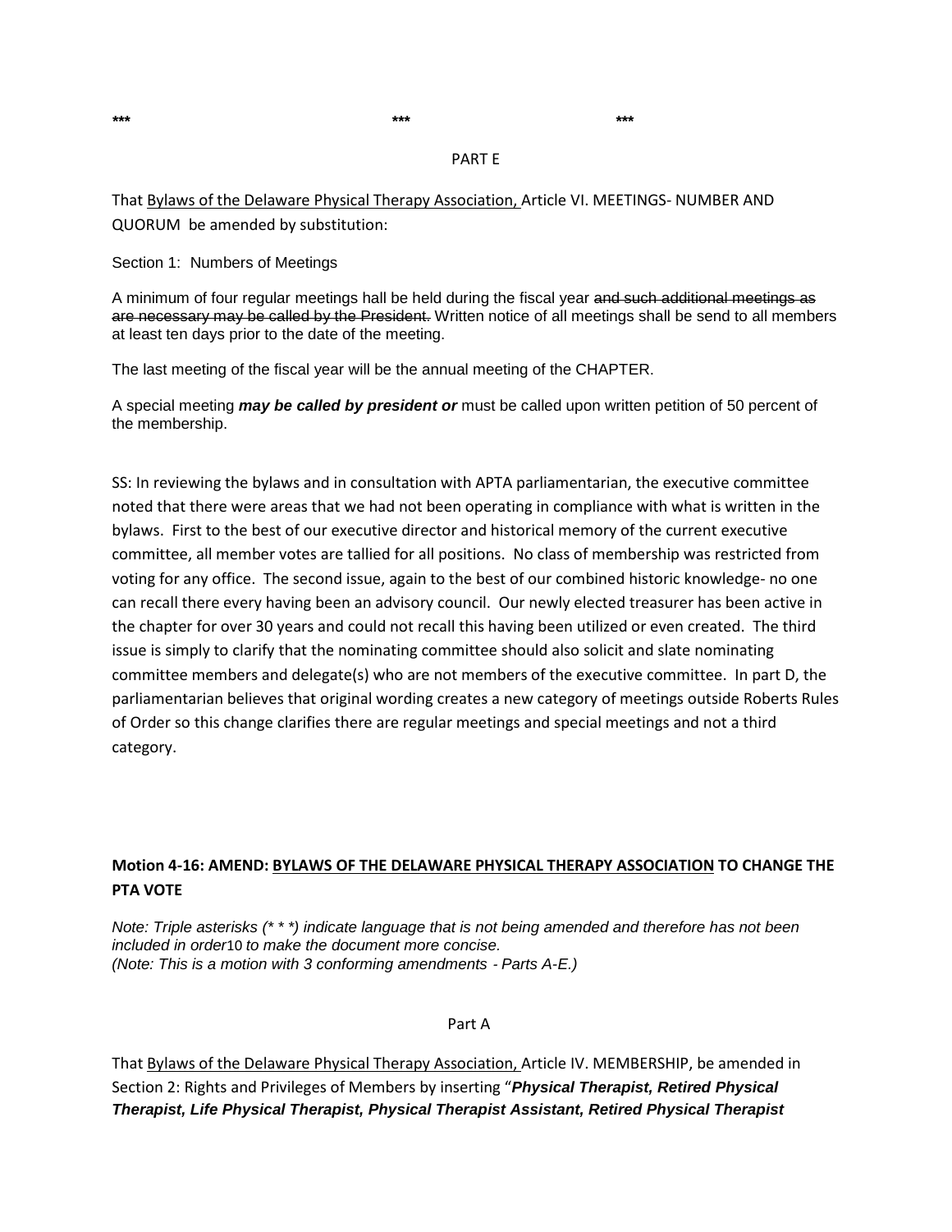*\*\*\* \*\*\* \*\*\**

#### PART E

That Bylaws of the Delaware Physical Therapy Association, Article VI. MEETINGS- NUMBER AND QUORUM be amended by substitution:

Section 1: Numbers of Meetings

A minimum of four regular meetings hall be held during the fiscal year and such additional meetings as are necessary may be called by the President. Written notice of all meetings shall be send to all members at least ten days prior to the date of the meeting.

The last meeting of the fiscal year will be the annual meeting of the CHAPTER.

A special meeting *may be called by president or* must be called upon written petition of 50 percent of the membership.

SS: In reviewing the bylaws and in consultation with APTA parliamentarian, the executive committee noted that there were areas that we had not been operating in compliance with what is written in the bylaws. First to the best of our executive director and historical memory of the current executive committee, all member votes are tallied for all positions. No class of membership was restricted from voting for any office. The second issue, again to the best of our combined historic knowledge- no one can recall there every having been an advisory council. Our newly elected treasurer has been active in the chapter for over 30 years and could not recall this having been utilized or even created. The third issue is simply to clarify that the nominating committee should also solicit and slate nominating committee members and delegate(s) who are not members of the executive committee. In part D, the parliamentarian believes that original wording creates a new category of meetings outside Roberts Rules of Order so this change clarifies there are regular meetings and special meetings and not a third category.

## **Motion 4-16: AMEND: BYLAWS OF THE DELAWARE PHYSICAL THERAPY ASSOCIATION TO CHANGE THE PTA VOTE**

*Note: Triple asterisks (\* \* \*) indicate language that is not being amended and therefore has not been included in order*10 *to make the document more concise. (Note: This is a motion with 3 conforming amendments* ‐ *Parts A-E.)*

Part A

That Bylaws of the Delaware Physical Therapy Association, Article IV. MEMBERSHIP, be amended in Section 2: Rights and Privileges of Members by inserting "*Physical Therapist, Retired Physical Therapist, Life Physical Therapist, Physical Therapist Assistant, Retired Physical Therapist*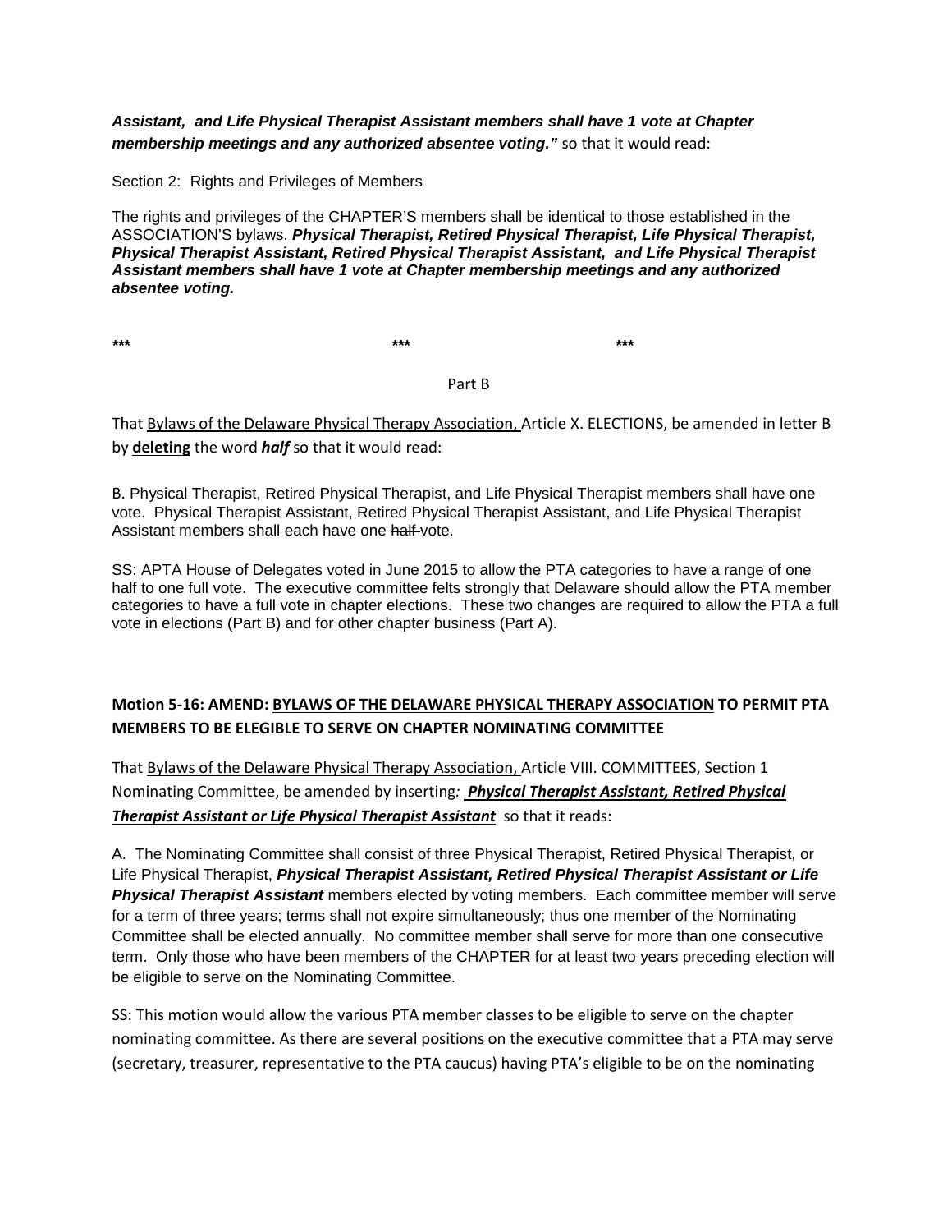## *Assistant, and Life Physical Therapist Assistant members shall have 1 vote at Chapter membership meetings and any authorized absentee voting."* so that it would read:

Section 2: Rights and Privileges of Members

The rights and privileges of the CHAPTER'S members shall be identical to those established in the ASSOCIATION'S bylaws. *Physical Therapist, Retired Physical Therapist, Life Physical Therapist, Physical Therapist Assistant, Retired Physical Therapist Assistant, and Life Physical Therapist Assistant members shall have 1 vote at Chapter membership meetings and any authorized absentee voting.*

*\*\*\* \*\*\* \*\*\**

#### Part B

That Bylaws of the Delaware Physical Therapy Association, Article X. ELECTIONS, be amended in letter B by **deleting** the word *half* so that it would read:

B. Physical Therapist, Retired Physical Therapist, and Life Physical Therapist members shall have one vote. Physical Therapist Assistant, Retired Physical Therapist Assistant, and Life Physical Therapist Assistant members shall each have one half-vote.

SS: APTA House of Delegates voted in June 2015 to allow the PTA categories to have a range of one half to one full vote. The executive committee felts strongly that Delaware should allow the PTA member categories to have a full vote in chapter elections. These two changes are required to allow the PTA a full vote in elections (Part B) and for other chapter business (Part A).

# **Motion 5-16: AMEND: BYLAWS OF THE DELAWARE PHYSICAL THERAPY ASSOCIATION TO PERMIT PTA MEMBERS TO BE ELEGIBLE TO SERVE ON CHAPTER NOMINATING COMMITTEE**

That Bylaws of the Delaware Physical Therapy Association, Article VIII. COMMITTEES, Section 1 Nominating Committee, be amended by inserting*: Physical Therapist Assistant, Retired Physical Therapist Assistant or Life Physical Therapist Assistant* so that it reads:

A. The Nominating Committee shall consist of three Physical Therapist, Retired Physical Therapist, or Life Physical Therapist, *Physical Therapist Assistant, Retired Physical Therapist Assistant or Life Physical Therapist Assistant* members elected by voting members. Each committee member will serve for a term of three years; terms shall not expire simultaneously; thus one member of the Nominating Committee shall be elected annually. No committee member shall serve for more than one consecutive term. Only those who have been members of the CHAPTER for at least two years preceding election will be eligible to serve on the Nominating Committee.

SS: This motion would allow the various PTA member classes to be eligible to serve on the chapter nominating committee. As there are several positions on the executive committee that a PTA may serve (secretary, treasurer, representative to the PTA caucus) having PTA's eligible to be on the nominating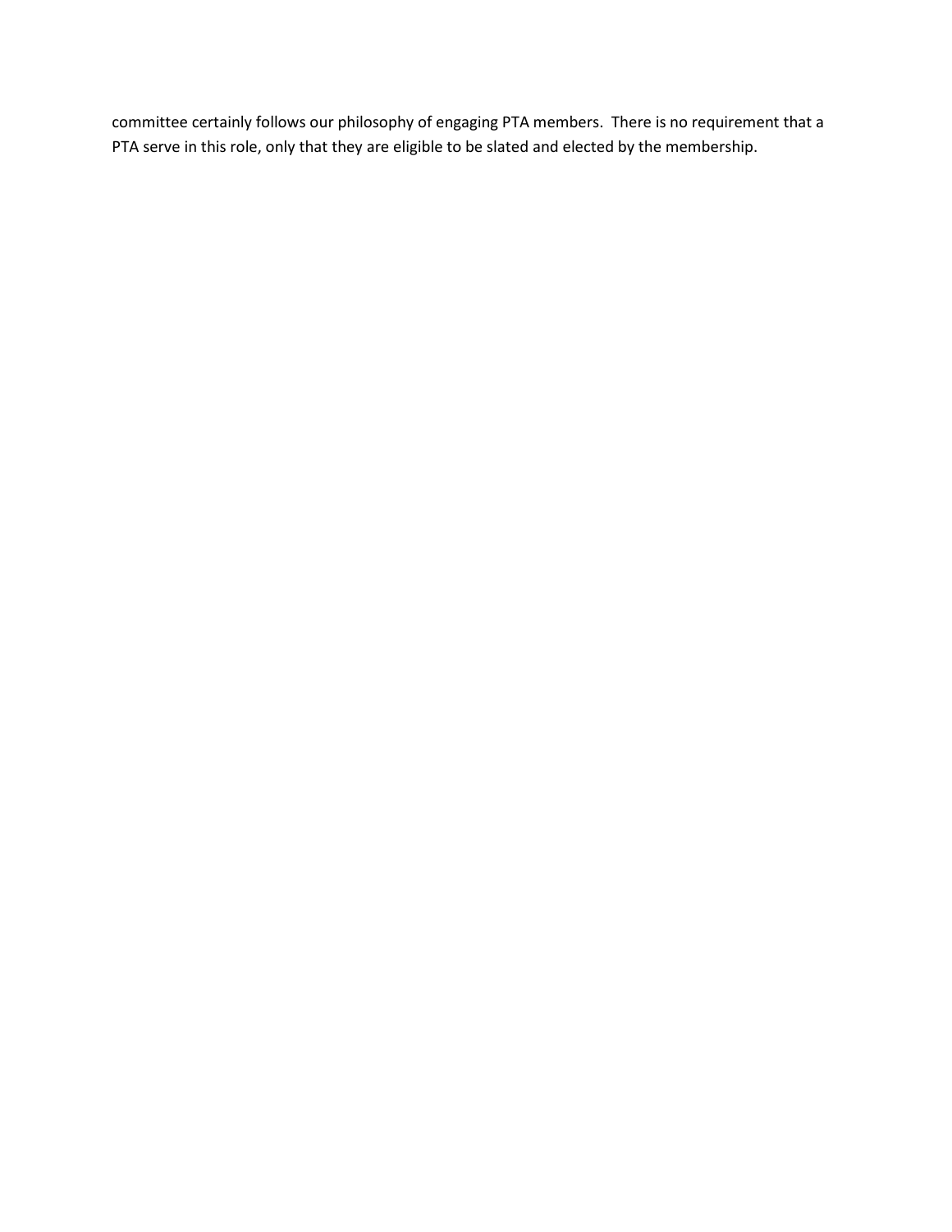committee certainly follows our philosophy of engaging PTA members. There is no requirement that a PTA serve in this role, only that they are eligible to be slated and elected by the membership.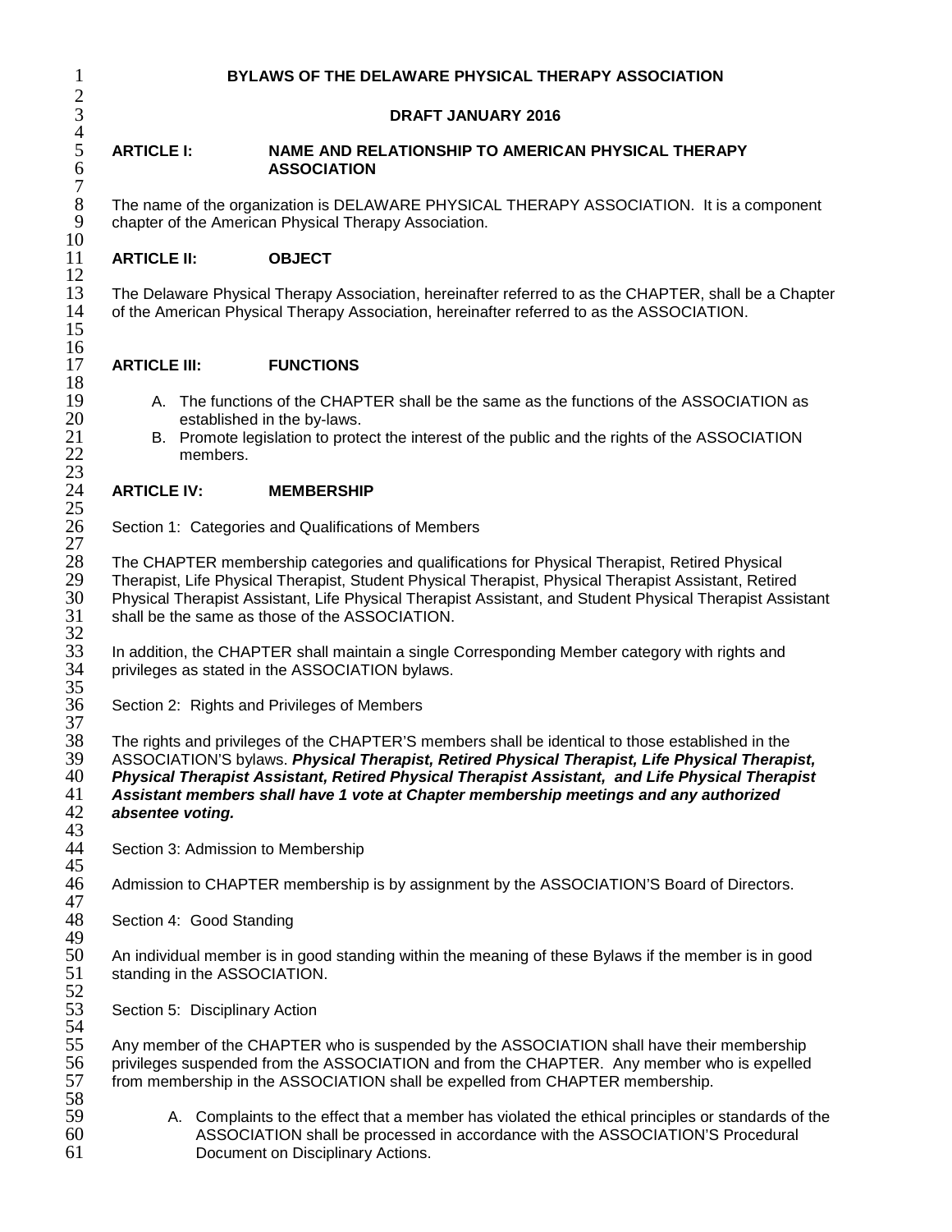## 1 **BYLAWS OF THE DELAWARE PHYSICAL THERAPY ASSOCIATION**

## 3 **DRAFT JANUARY 2016**

#### 5 **ARTICLE I: NAME AND RELATIONSHIP TO AMERICAN PHYSICAL THERAPY**  6 **ASSOCIATION**

8 The name of the organization is DELAWARE PHYSICAL THERAPY ASSOCIATION. It is a component chapter of the American Physical Therapy Association. chapter of the American Physical Therapy Association.

## 11 **ARTICLE II: OBJECT**

13 The Delaware Physical Therapy Association, hereinafter referred to as the CHAPTER, shall be a Chapter 14 of the American Physical Therapy Association. hereinafter referred to as the ASSOCIATION. of the American Physical Therapy Association, hereinafter referred to as the ASSOCIATION.

## 17 **ARTICLE III: FUNCTIONS**

- 19 A. The functions of the CHAPTER shall be the same as the functions of the ASSOCIATION as<br>20 established in the by-laws. 20 established in the by-laws.<br>21 B. Promote legislation to prote
- 21 B. Promote legislation to protect the interest of the public and the rights of the ASSOCIATION members. members.

## 24 **ARTICLE IV: MEMBERSHIP**

Section 1: Categories and Qualifications of Members

28 The CHAPTER membership categories and qualifications for Physical Therapist, Retired Physical<br>29 Therapist, Life Physical Therapist, Student Physical Therapist, Physical Therapist Assistant, Retire 29 Therapist, Life Physical Therapist, Student Physical Therapist, Physical Therapist Assistant, Retired<br>30 Physical Therapist Assistant, Life Physical Therapist Assistant, and Student Physical Therapist Assis 30 Physical Therapist Assistant, Life Physical Therapist Assistant, and Student Physical Therapist Assistant shall be the same as those of the ASSOCIATION.

33 In addition, the CHAPTER shall maintain a single Corresponding Member category with rights and 34 Intivileges as stated in the ASSOCIATION by laws. privileges as stated in the ASSOCIATION bylaws.

Section 2: Rights and Privileges of Members

38 The rights and privileges of the CHAPTER'S members shall be identical to those established in the 39 ASSOCIATION'S bylaws. Physical Therap 39 ASSOCIATION'S bylaws. *Physical Therapist, Retired Physical Therapist, Life Physical Therapist,*  40 *Physical Therapist Assistant, Retired Physical Therapist Assistant, and Life Physical Therapist*  41 *Assistant members shall have 1 vote at Chapter membership meetings and any authorized*  absentee voting.

Section 3: Admission to Membership

Admission to CHAPTER membership is by assignment by the ASSOCIATION'S Board of Directors.

Section 4: Good Standing

50 An individual member is in good standing within the meaning of these Bylaws if the member is in good 51 standing in the ASSOCIATION. standing in the ASSOCIATION.

Section 5: Disciplinary Action

55 Any member of the CHAPTER who is suspended by the ASSOCIATION shall have their membership<br>56 privileges suspended from the ASSOCIATION and from the CHAPTER. Any member who is expelled 56 privileges suspended from the ASSOCIATION and from the CHAPTER. Any member who is expelled 57 from membership in the ASSOCIATION shall be expelled from CHAPTER membership. from membership in the ASSOCIATION shall be expelled from CHAPTER membership.

A. Complaints to the effect that a member has violated the ethical principles or standards of the 60 ASSOCIATION shall be processed in accordance with the ASSOCIATION'S Procedural Document on Disciplinary Actions.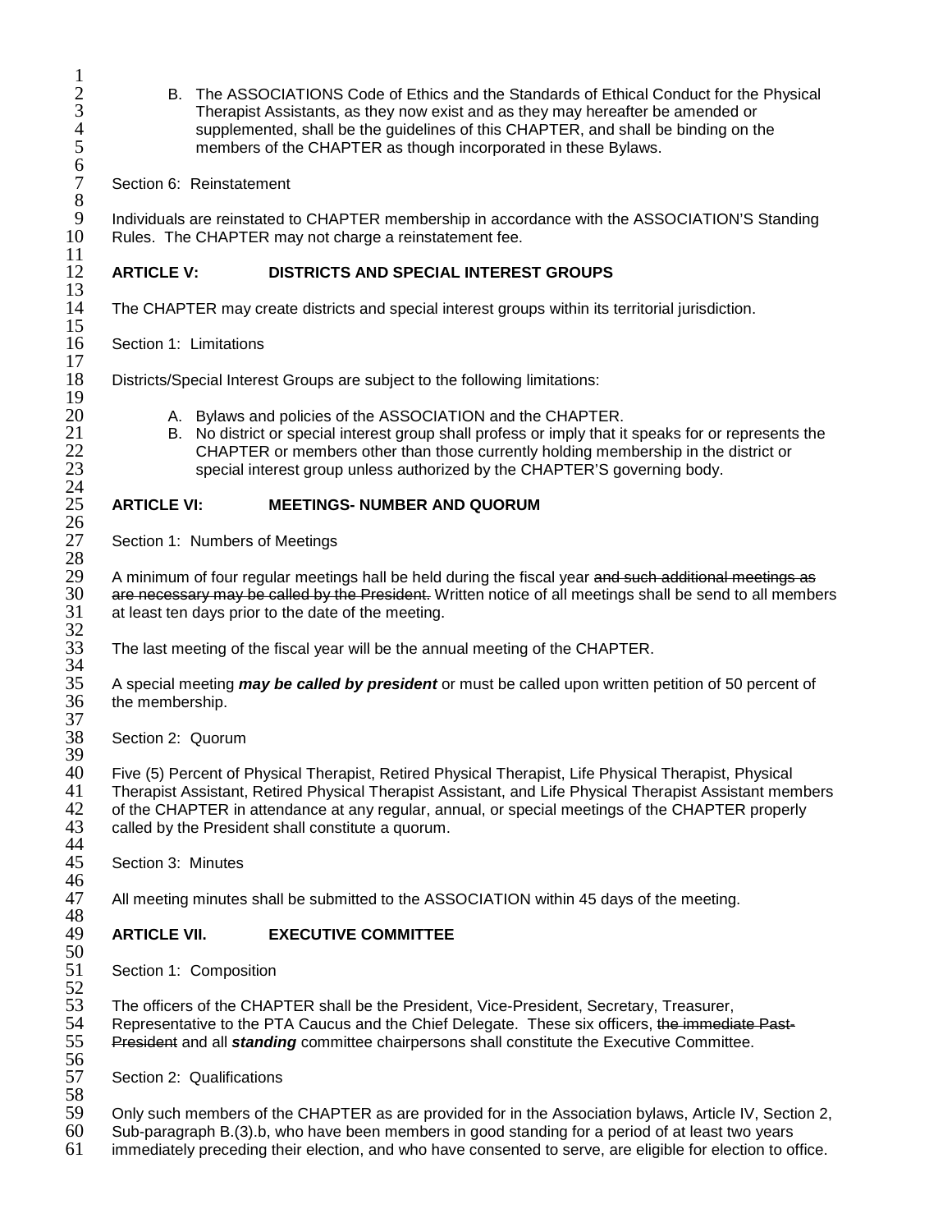- 2 B. The ASSOCIATIONS Code of Ethics and the Standards of Ethical Conduct for the Physical Therapist Assistants, as they now exist and as they may hereafter be amended or supplemented, shall be the guidelines of this CHAPTER, and shall be binding on the members of the CHAPTER as though incorporated in these Bylaws.
- Section 6: Reinstatement

9 Individuals are reinstated to CHAPTER membership in accordance with the ASSOCIATION'S Standing<br>10 Rules. The CHAPTER may not charge a reinstatement fee. Rules. The CHAPTER may not charge a reinstatement fee.

## 12 **ARTICLE V: DISTRICTS AND SPECIAL INTEREST GROUPS**

The CHAPTER may create districts and special interest groups within its territorial jurisdiction.

Section 1: Limitations

Districts/Special Interest Groups are subject to the following limitations:

- 
- 20 A. Bylaws and policies of the ASSOCIATION and the CHAPTER.<br>21 B. No district or special interest group shall profess or imply that it 21 B. No district or special interest group shall profess or imply that it speaks for or represents the CHAPTER or members other than those currently holding membership in the district or 22 CHAPTER or members other than those currently holding membership in the district or<br>23 special interest group unless authorized by the CHAPTER'S governing body. special interest group unless authorized by the CHAPTER'S governing body.

# 25 **ARTICLE VI: MEETINGS- NUMBER AND QUORUM**

Section 1: Numbers of Meetings

29 A minimum of four regular meetings hall be held during the fiscal year <del>and such additional meetings as</del><br>30 are necessary may be called by the President. Written notice of all meetings shall be send to all membe 30 are necessary may be called by the President. Written notice of all meetings shall be send to all members 31 at least ten days prior to the date of the meeting. at least ten days prior to the date of the meeting.

The last meeting of the fiscal year will be the annual meeting of the CHAPTER.

35 A special meeting *may be called by president* or must be called upon written petition of 50 percent of the membership.

Section 2: Quorum

40 Five (5) Percent of Physical Therapist, Retired Physical Therapist, Life Physical Therapist, Physical 41 Therapist Assistant, Retired Physical Therapist Assistant, and Life Physical Therapist Assistant members<br>42 of the CHAPTER in attendance at any regular, annual, or special meetings of the CHAPTER properly 42 of the CHAPTER in attendance at any regular, annual, or special meetings of the CHAPTER properly 43 called by the President shall constitute a quorum. called by the President shall constitute a quorum.

Section 3: Minutes

All meeting minutes shall be submitted to the ASSOCIATION within 45 days of the meeting.

## 49 **ARTICLE VII. EXECUTIVE COMMITTEE**

Section 1: Composition

53 The officers of the CHAPTER shall be the President, Vice-President, Secretary, Treasurer,<br>54 Representative to the PTA Caucus and the Chief Delegate. These six officers, <del>the immedia</del> 54 Representative to the PTA Caucus and the Chief Delegate. These six officers, <del>the immediate Past-</del><br>55 President and all *standing* committee chairpersons shall constitute the Executive Committee. 55 President and all *standing* committee chairpersons shall constitute the Executive Committee.

- Section 2: Qualifications
- 59 Only such members of the CHAPTER as are provided for in the Association bylaws, Article IV, Section 2, 60 Sub-paragraph B. (3).b, who have been members in good standing for a period of at least two years
- Sub-paragraph B.(3).b, who have been members in good standing for a period of at least two years
- 61 immediately preceding their election, and who have consented to serve, are eligible for election to office.

 $\frac{1}{2}$ 6 8  $\frac{11}{12}$  $\frac{13}{14}$  $\frac{15}{16}$  $\frac{17}{18}$  $\frac{19}{20}$  $\frac{24}{25}$  $\frac{26}{27}$ 28<br>29 32<br>33 34<br>35 37<br>38 39 44<br>45 46<br>47 48<br>49 50<br>51 52<br>53 56<br>57 58<br>59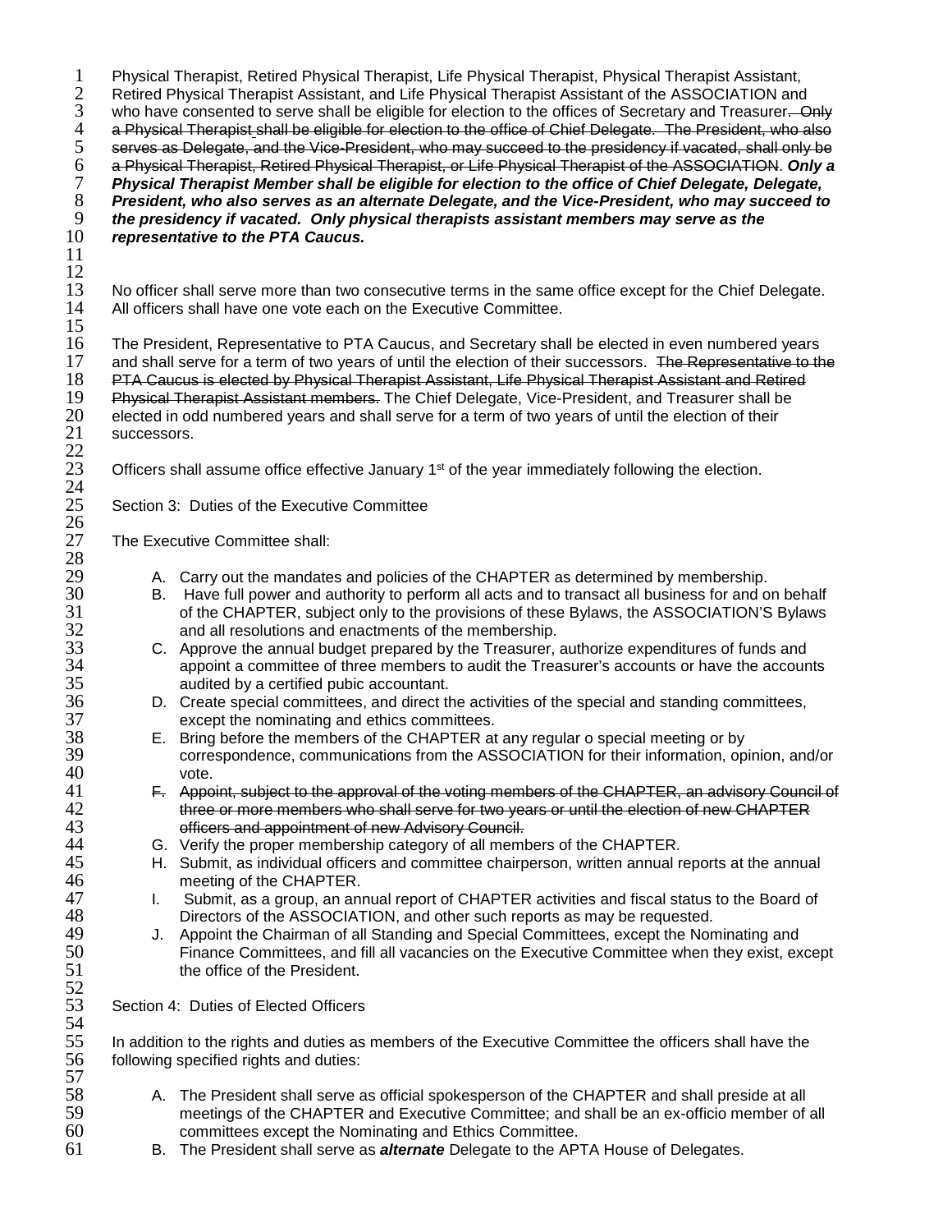1 Physical Therapist, Retired Physical Therapist, Life Physical Therapist, Physical Therapist Assistant,<br>2 Retired Physical Therapist Assistant, and Life Physical Therapist Assistant of the ASSOCIATION and 2 Retired Physical Therapist Assistant, and Life Physical Therapist Assistant of the ASSOCIATION and<br>3 who have consented to serve shall be eligible for election to the offices of Secretary and Treasurer. O 3 who have consented to serve shall be eligible for election to the offices of Secretary and Treasurer. Only 4 a Physical Therapist shall be eligible for election to the office of Chief Delegate. The President, who also a Physical Therapist shall be eligible for election to the office of Chief Delegate. The President, who also<br>5 serves as Delegate, and the Vice-President, who may succeed to the presidency if vacated, shall only be<br>6 a Phy serves as Delegate, and the Vice-President, who may succeed to the presidency if vacated, shall only be 6 a Physical Therapist, Retired Physical Therapist, or Life Physical Therapist of the ASSOCIATION. *Only a*  7 *Physical Therapist Member shall be eligible for election to the office of Chief Delegate, Delegate,*  8 *President, who also serves as an alternate Delegate, and the Vice-President, who may succeed to*  9 *the presidency if vacated. Only physical therapists assistant members may serve as the representative to the PTA Caucus.* 11  $\frac{12}{13}$ 13 No officer shall serve more than two consecutive terms in the same office except for the Chief Delegate.<br>14 All officers shall have one vote each on the Executive Committee. All officers shall have one vote each on the Executive Committee.  $\frac{15}{16}$ 16 The President, Representative to PTA Caucus, and Secretary shall be elected in even numbered years<br>17 and shall serve for a term of two vears of until the election of their successors. The Representative to th 17 and shall serve for a term of two years of until the election of their successors. The Representative to the<br>18 PTA Caucus is elected by Physical Therapist Assistant, Life Physical Therapist Assistant and Retired 18 PTA Caucus is elected by Physical Therapist Assistant, Life Physical Therapist Assistant and Retired 19<br>19 Physical Therapist Assistant members. The Chief Delegate, Vice-President, and Treasurer shall be 19 Physical Therapist Assistant members. The Chief Delegate, Vice-President, and Treasurer shall be<br>20 elected in odd numbered years and shall serve for a term of two years of until the election of their 20 elected in odd numbered years and shall serve for a term of two years of until the election of their<br>21 successors. successors.  $\frac{22}{23}$ Officers shall assume office effective January  $1<sup>st</sup>$  of the year immediately following the election.  $\frac{24}{25}$ Section 3: Duties of the Executive Committee  $\frac{26}{27}$ The Executive Committee shall: 28<br>29 29 A. Carry out the mandates and policies of the CHAPTER as determined by membership.<br>30 B. Have full power and authority to perform all acts and to transact all business for and o 30 B. Have full power and authority to perform all acts and to transact all business for and on behalf 31 of the CHAPTER, subject only to the provisions of these Bylaws, the ASSOCIATION'S Bylaws 31 of the CHAPTER, subject only to the provisions of these Bylaws, the ASSOCIATION'S Bylaws<br>32 and all resolutions and enactments of the membership. 32 and all resolutions and enactments of the membership.<br>33 C. Approve the annual budget prepared by the Treasurer, 33 C. Approve the annual budget prepared by the Treasurer, authorize expenditures of funds and 34 appoint a committee of three members to audit the Treasurer's accounts or have the accounts audited by a certified pubic accountant. 35 audited by a certified pubic accountant.<br>36 D. Create special committees, and direct the 36 D. Create special committees, and direct the activities of the special and standing committees, 37 except the nominating and ethics committees.<br>38 E. Bring before the members of the CHAPTER at 38 E. Bring before the members of the CHAPTER at any regular o special meeting or by 39 correspondence, communications from the ASSOCIATION for their information, opinion, and/or  $40$  vote.<br> $41$  <del>F. Appe</del> 41 F. Appoint, subject to the approval of the voting members of the CHAPTER, an advisory Council of 42 42 three or more members who shall serve for two years or until the election of new CHAPTER<br>43 officers and appointment of new Advisory Council. 43 **officers and appointment of new Advisory Council.**<br>44 **G.** Verify the proper membership category of all meml 44 G. Verify the proper membership category of all members of the CHAPTER.<br>45 H. Submit, as individual officers and committee chairperson, written annual re 45 H. Submit, as individual officers and committee chairperson, written annual reports at the annual meeting of the CHAPTER. 46 meeting of the CHAPTER.<br>47 L. Submit, as a group, an ani 47 I. Submit, as a group, an annual report of CHAPTER activities and fiscal status to the Board of 48 Directors of the ASSOCIATION, and other such reports as may be requested. 48 Directors of the ASSOCIATION, and other such reports as may be requested.<br>49 J. Appoint the Chairman of all Standing and Special Committees, except the Non 49 J. Appoint the Chairman of all Standing and Special Committees, except the Nominating and 50 Finance Committees, and fill all vacancies on the Executive Committee when they exist, except the office of the President. 52<br>53 Section 4: Duties of Elected Officers 54<br>55 55 In addition to the rights and duties as members of the Executive Committee the officers shall have the 56 Indian steps in the steps in the steps in the steps in the steps in the steps in the steps in the steps in the st following specified rights and duties: 57<br>58 58 A. The President shall serve as official spokesperson of the CHAPTER and shall preside at all<br>59 meetings of the CHAPTER and Executive Committee; and shall be an ex-officio member of 59 meetings of the CHAPTER and Executive Committee; and shall be an ex-officio member of all 500 committees except the Nominating and Ethics Committee. committees except the Nominating and Ethics Committee. 61 B. The President shall serve as *alternate* Delegate to the APTA House of Delegates.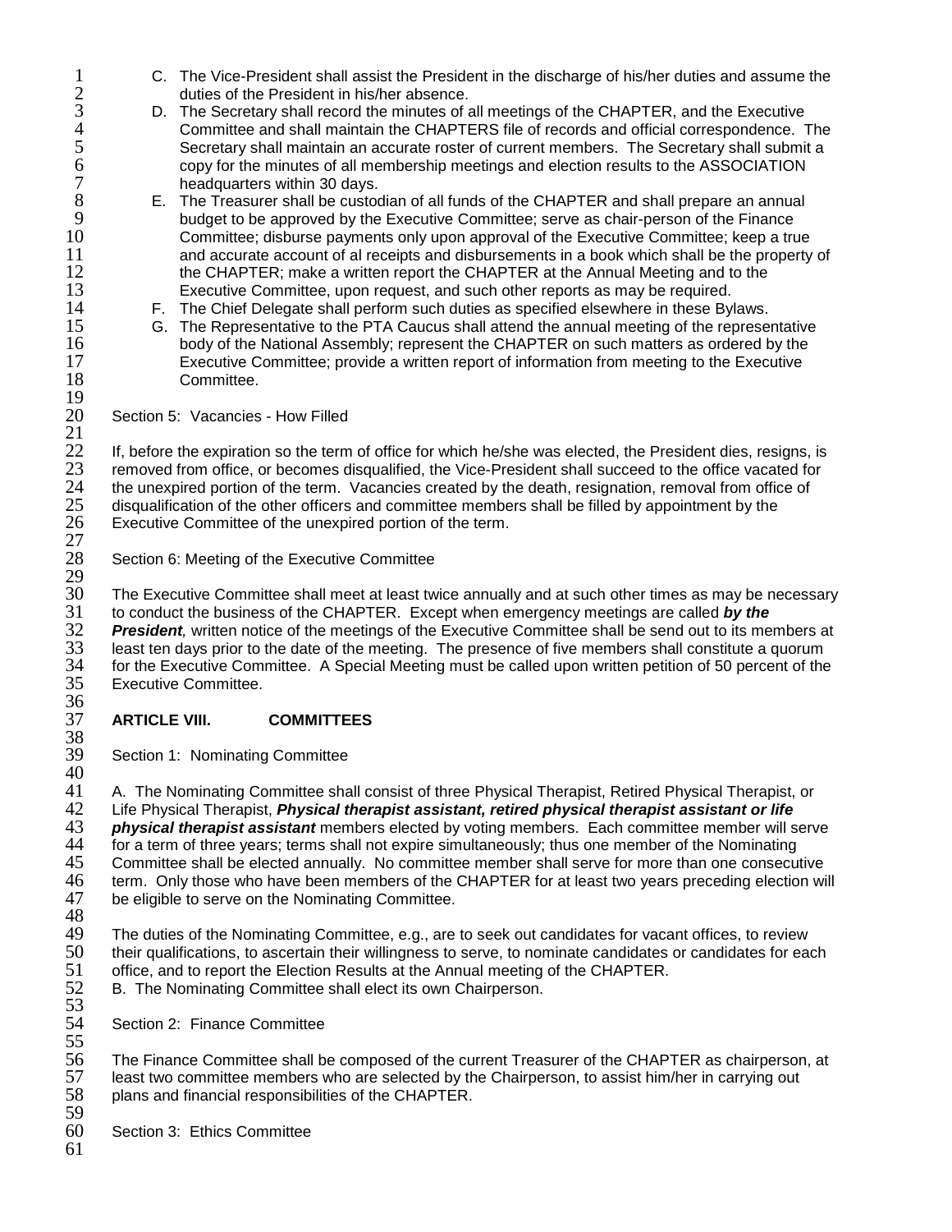- 1 C. The Vice-President shall assist the President in the discharge of his/her duties and assume the discharge of the President in his/her absence. 2 duties of the President in his/her absence.<br>3 D. The Secretary shall record the minutes of a
- 3 D. The Secretary shall record the minutes of all meetings of the CHAPTER, and the Executive 4 Committee and shall maintain the CHAPTERS file of records and official correspondence. The<br>5 Secretary shall maintain an accurate roster of current members. The Secretary shall submit a 5 Secretary shall maintain an accurate roster of current members. The Secretary shall submit a<br>6 copy for the minutes of all membership meetings and election results to the ASSOCIATION 6 copy for the minutes of all membership meetings and election results to the ASSOCIATION 7 headquarters within 30 days.<br>8 E. The Treasurer shall be custod
- 8 E. The Treasurer shall be custodian of all funds of the CHAPTER and shall prepare an annual<br>9 budget to be approved by the Executive Committee: serve as chair-person of the Finance 9 budget to be approved by the Executive Committee; serve as chair-person of the Finance 10 Committee; disburse payments only upon approval of the Executive Committee; keep a true 11 and accurate account of al receipts and disbursements in a book which shall be the property of 12 the CHAPTER; make a written report the CHAPTER at the Annual Meeting and to the 12 the CHAPTER; make a written report the CHAPTER at the Annual Meeting and to the<br>13 Executive Committee, upon request, and such other reports as may be required.
- 13 Executive Committee, upon request, and such other reports as may be required.<br>14 **E.** The Chief Delegate shall perform such duties as specified elsewhere in these By
- 14 F. The Chief Delegate shall perform such duties as specified elsewhere in these Bylaws.<br>15 G. The Representative to the PTA Caucus shall attend the annual meeting of the represe 15 G. The Representative to the PTA Caucus shall attend the annual meeting of the representative<br>16 body of the National Assembly: represent the CHAPTER on such matters as ordered by the 16 body of the National Assembly; represent the CHAPTER on such matters as ordered by the<br>17 **Executive Committee: provide a written report of information from meeting to the Executive** 17 Executive Committee; provide a written report of information from meeting to the Executive Committee.

Section 5: Vacancies - How Filled

 $\frac{21}{22}$ 22 If, before the expiration so the term of office for which he/she was elected, the President dies, resigns, is<br>23 removed from office, or becomes disqualified, the Vice-President shall succeed to the office vacated for 23 removed from office, or becomes disqualified, the Vice-President shall succeed to the office vacated for<br>24 the unexpired portion of the term. Vacancies created by the death, resignation, removal from office of 24 the unexpired portion of the term. Vacancies created by the death, resignation, removal from office of 25 disqualification of the other officers and committee members shall be filled by appointment by the 25 disqualification of the other officers and committee members shall be filled by appointment by the 26 Executive Committee of the unexpired portion of the term. Executive Committee of the unexpired portion of the term.  $\frac{27}{28}$ 

Section 6: Meeting of the Executive Committee

29<br>30 30 The Executive Committee shall meet at least twice annually and at such other times as may be necessary<br>31 to conduct the business of the CHAPTER. Except when emergency meetings are called *by the* 31 to conduct the business of the CHAPTER. Except when emergency meetings are called *by the*  **President**, written notice of the meetings of the Executive Committee shall be send out to its members at 33 least ten days prior to the date of the meeting. The presence of five members shall constitute a quorum 33 least ten days prior to the date of the meeting. The presence of five members shall constitute a quorum<br>34 for the Executive Committee. A Special Meeting must be called upon written petition of 50 percent of the 34 for the Executive Committee. A Special Meeting must be called upon written petition of 50 percent of the 35<br>35 Executive Committee. Executive Committee.

#### 36<br>37 37 **ARTICLE VIII. COMMITTEES**

38<br>39 Section 1: Nominating Committee

40<br>41 41 A. The Nominating Committee shall consist of three Physical Therapist, Retired Physical Therapist, or<br>42 Life Physical Therapist, *Physical therapist assistant, retired physical therapist assistant or life* 42 Life Physical Therapist, *Physical therapist assistant, retired physical therapist assistant or life*  43 *physical therapist assistant* members elected by voting members. Each committee member will serve 44 for a term of three years; terms shall not expire simultaneously; thus one member of the Nominating 44 for a term of three years; terms shall not expire simultaneously; thus one member of the Nominating<br>45 Committee shall be elected annually. No committee member shall serve for more than one consecu 45 Committee shall be elected annually. No committee member shall serve for more than one consecutive<br>46 term. Only those who have been members of the CHAPTER for at least two years preceding election wi 46 term. Only those who have been members of the CHAPTER for at least two years preceding election will<br>47 be eligible to serve on the Nominating Committee. be eligible to serve on the Nominating Committee.

48<br>49

 $\frac{19}{20}$ 

- 49 The duties of the Nominating Committee, e.g., are to seek out candidates for vacant offices, to review<br>50 their qualifications, to ascertain their willingness to serve, to nominate candidates or candidates for ea 50 their qualifications, to ascertain their willingness to serve, to nominate candidates or candidates for each<br>51 office, and to report the Election Results at the Annual meeting of the CHAPTER. 51 office, and to report the Election Results at the Annual meeting of the CHAPTER.<br>52 B. The Nominating Committee shall elect its own Chairperson.
- B. The Nominating Committee shall elect its own Chairperson.
- 53<br>54 Section 2: Finance Committee

55<br>56 56 The Finance Committee shall be composed of the current Treasurer of the CHAPTER as chairperson, at 57 Ieast two committee members who are selected by the Chairperson, to assist him/her in carrying out 57 least two committee members who are selected by the Chairperson, to assist him/her in carrying out 58 plans and financial responsibilities of the CHAPTER. plans and financial responsibilities of the CHAPTER.

- 59 Section 3: Ethics Committee
- 61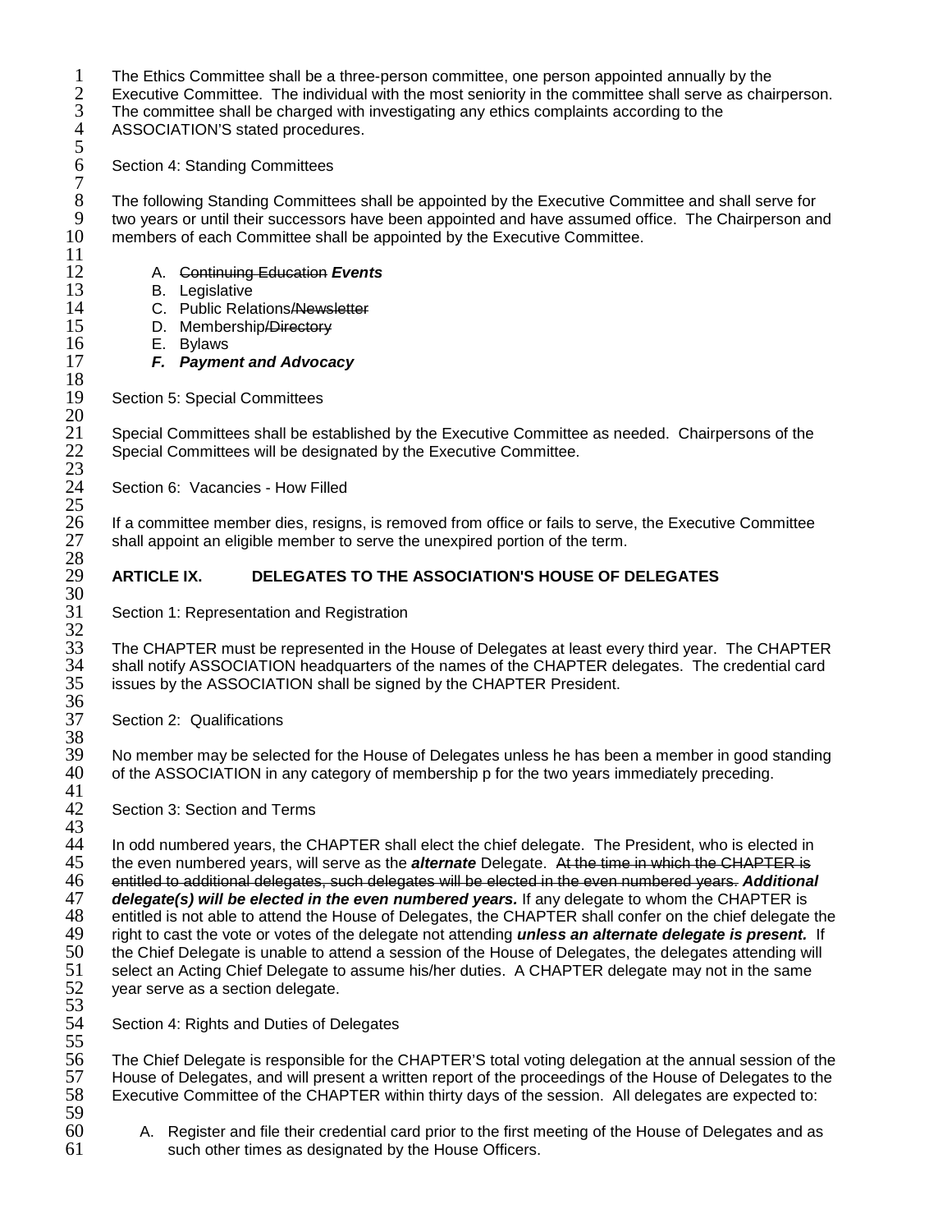1 The Ethics Committee shall be a three-person committee, one person appointed annually by the <br>2 Executive Committee. The individual with the most seniority in the committee shall serve as chai

2 Executive Committee. The individual with the most seniority in the committee shall serve as chairperson.<br>3 The committee shall be charged with investigating any ethics complaints according to the The committee shall be charged with investigating any ethics complaints according to the

4 ASSOCIATION'S stated procedures.

Section 4: Standing Committees

5

7

 $\frac{11}{12}$ 

 $\frac{18}{19}$ 

 $\frac{20}{21}$ 

 $\frac{22}{23}$ <br>23

 $\frac{25}{26}$ 

8 The following Standing Committees shall be appointed by the Executive Committee and shall serve for<br>9 two vears or until their successors have been appointed and have assumed office. The Chairperson an 9 two years or until their successors have been appointed and have assumed office. The Chairperson and 10 members of each Committee shall be appointed by the Executive Committee. members of each Committee shall be appointed by the Executive Committee.

- 12 A. Continuing Education *Events*
	-
- 13 B. Legislative<br>14 C. Public Rela 14 C. Public Relations/Newsletter<br>15 D. Membership/Directory
- 15 D. Membership<del>/Directory</del><br>16 E. Bylaws
- 16 E. Bylaws<br>17 **F. Pavme** 
	- 17 *F. Payment and Advocacy*

Section 5: Special Committees

Special Committees shall be established by the Executive Committee as needed. Chairpersons of the Special Committees will be designated by the Executive Committee.

Section 6: Vacancies - How Filled

26 If a committee member dies, resigns, is removed from office or fails to serve, the Executive Committee 27 shall appoint an eligible member to serve the unexpired portion of the term. shall appoint an eligible member to serve the unexpired portion of the term.

# 28<br>29 29 **ARTICLE IX. DELEGATES TO THE ASSOCIATION'S HOUSE OF DELEGATES** 30<br>31

Section 1: Representation and Registration

32<br>33 33 The CHAPTER must be represented in the House of Delegates at least every third year. The CHAPTER<br>34 Shall notify ASSOCIATION headquarters of the names of the CHAPTER delegates. The credential card 34 shall notify ASSOCIATION headquarters of the names of the CHAPTER delegates. The credential card<br>35 issues by the ASSOCIATION shall be signed by the CHAPTER President. issues by the ASSOCIATION shall be signed by the CHAPTER President. 36<br>37

Section 2: Qualifications

38<br>39 39 No member may be selected for the House of Delegates unless he has been a member in good standing<br>40 of the ASSOCIATION in any category of membership p for the two years immediately preceding. of the ASSOCIATION in any category of membership p for the two years immediately preceding.

 $\frac{41}{42}$ Section 3: Section and Terms

43 44 In odd numbered years, the CHAPTER shall elect the chief delegate. The President, who is elected in<br>45 the even numbered years, will serve as the *alternate* Delegate. At the time in which the CHAPTER is 45 the even numbered years, will serve as the *alternate* Delegate. At the time in which the CHAPTER is 46 entitled to additional delegates, such delegates will be elected in the even numbered years. *Additional*  47 *delegate(s) will be elected in the even numbered years.* If any delegate to whom the CHAPTER is 48 entitled is not able to attend the House of Delegates, the CHAPTER shall confer on the chief delegate the<br>49 in the cast the vote or votes of the delegate not attending **unless an alternate delegate is present.** If 49 right to cast the vote or votes of the delegate not attending *unless an alternate delegate is present.* If 50 the Chief Delegate is unable to attend a session of the House of Delegates, the delegates attending will<br>51 select an Acting Chief Delegate to assume his/her duties. A CHAPTER delegate may not in the same 51 select an Acting Chief Delegate to assume his/her duties. A CHAPTER delegate may not in the same<br>52 year serve as a section delegate. year serve as a section delegate.

53<br>54 Section 4: Rights and Duties of Delegates

55<br>56 56 The Chief Delegate is responsible for the CHAPTER'S total voting delegation at the annual session of the<br>57 House of Delegates, and will present a written report of the proceedings of the House of Delegates to the 57 House of Delegates, and will present a written report of the proceedings of the House of Delegates to the 58<br>58 Executive Committee of the CHAPTER within thirty days of the session. All delegates are expected to: Executive Committee of the CHAPTER within thirty days of the session. All delegates are expected to: 59

60 A. Register and file their credential card prior to the first meeting of the House of Delegates and as 61 such other times as designated by the House Officers.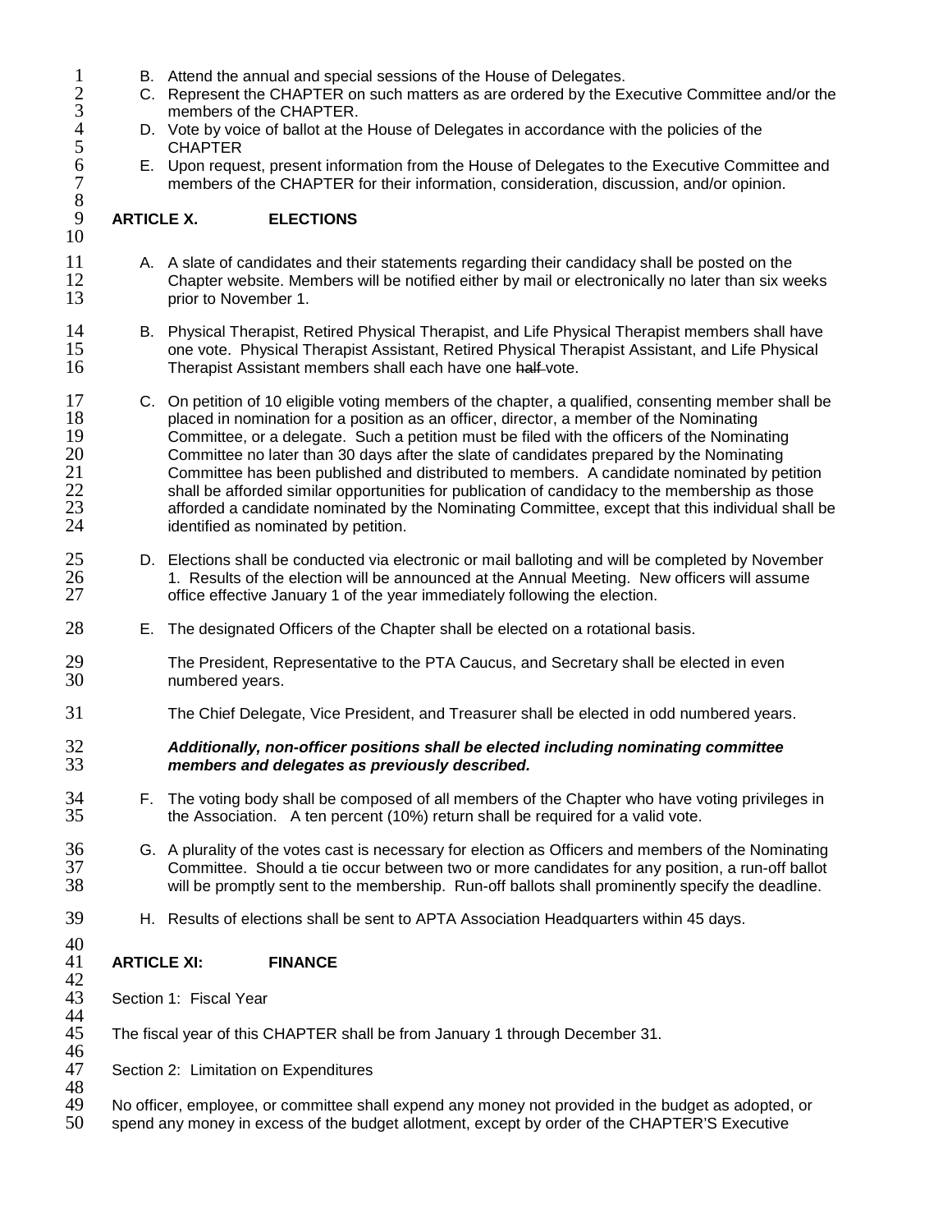- 
- 1 B. Attend the annual and special sessions of the House of Delegates.<br>
2 C. Represent the CHAPTER on such matters as are ordered by the Ex<br>
3 members of the CHAPTER. 2 C. Represent the CHAPTER on such matters as are ordered by the Executive Committee and/or the
- 3 members of the CHAPTER.<br>
4 D. Vote by voice of ballot at the<br>
5 CHAPTER<br>
6 E. Upon request, present inform<br>
7 members of the CHAPTER f D. Vote by voice of ballot at the House of Delegates in accordance with the policies of the **CHAPTER** 
	- 6 E. Upon request, present information from the House of Delegates to the Executive Committee and members of the CHAPTER for their information, consideration, discussion, and/or opinion.

#### 9 **ARTICLE X. ELECTIONS** 10

 $\frac{8}{9}$ 

- 11 A. A slate of candidates and their statements regarding their candidacy shall be posted on the<br>12 Chapter website. Members will be notified either by mail or electronically no later than six we 12 Chapter website. Members will be notified either by mail or electronically no later than six weeks orior to November 1. prior to November 1.
- 14 B. Physical Therapist, Retired Physical Therapist, and Life Physical Therapist members shall have<br>15 one vote. Physical Therapist Assistant, Retired Physical Therapist Assistant, and Life Physical 15 one vote. Physical Therapist Assistant, Retired Physical Therapist Assistant, and Life Physical 16 16 Therapist Assistant members shall each have one half-vote. Therapist Assistant members shall each have one half-vote.
- 17 C. On petition of 10 eligible voting members of the chapter, a qualified, consenting member shall be placed in nomination for a position as an officer, director, a member of the Nominating 18 placed in nomination for a position as an officer, director, a member of the Nominating<br>19 Committee, or a delegate. Such a petition must be filed with the officers of the Nomina 19 Committee, or a delegate. Such a petition must be filed with the officers of the Nominating<br>20 Committee no later than 30 days after the slate of candidates prepared by the Nominating 20 20 Committee no later than 30 days after the slate of candidates prepared by the Nominating<br>21 Committee has been published and distributed to members. A candidate nominated by pe 21 Committee has been published and distributed to members. A candidate nominated by petition<br>22 shall be afforded similar opportunities for publication of candidacy to the membership as those 22 shall be afforded similar opportunities for publication of candidacy to the membership as those<br>23 forest afforded a candidate nominated by the Nominating Committee, except that this individual shall 23 afforded a candidate nominated by the Nominating Committee, except that this individual shall be 24 identified as nominated by petition. identified as nominated by petition.
- 25 D. Elections shall be conducted via electronic or mail balloting and will be completed by November<br>26 1. Results of the election will be announced at the Annual Meeting. New officers will assume 26 1. Results of the election will be announced at the Annual Meeting. New officers will assume<br>27 for the effective January 1 of the vear immediately following the election. office effective January 1 of the year immediately following the election.
- 28 E. The designated Officers of the Chapter shall be elected on a rotational basis.
- 29 The President, Representative to the PTA Caucus, and Secretary shall be elected in even<br>30 The numbered vears. numbered years.
- 31 The Chief Delegate, Vice President, and Treasurer shall be elected in odd numbered years.

## 32 *Additionally, non-officer positions shall be elected including nominating committee*  33 *members and delegates as previously described.*

- 34 F. The voting body shall be composed of all members of the Chapter who have voting privileges in<br>35 the Association. A ten percent (10%) return shall be required for a valid vote. the Association. A ten percent (10%) return shall be required for a valid vote.
- 36 G. A plurality of the votes cast is necessary for election as Officers and members of the Nominating<br>37 Committee. Should a tie occur between two or more candidates for any position, a run-off ballot 37 Committee. Should a tie occur between two or more candidates for any position, a run-off ballot will be promptly sent to the membership. Run-off ballots shall prominently specify the deadline.
- 39 H. Results of elections shall be sent to APTA Association Headquarters within 45 days.

#### 40<br>41 41 **ARTICLE XI: FINANCE**

- 42<br>43 Section 1: Fiscal Year
- 44<br>45 45 The fiscal year of this CHAPTER shall be from January 1 through December 31.
- 46<br>47 Section 2: Limitation on Expenditures
- 48<br>49 49 No officer, employee, or committee shall expend any money not provided in the budget as adopted, or <br>50 spend any money in excess of the budget allotment, except by order of the CHAPTER'S Executive
- spend any money in excess of the budget allotment, except by order of the CHAPTER'S Executive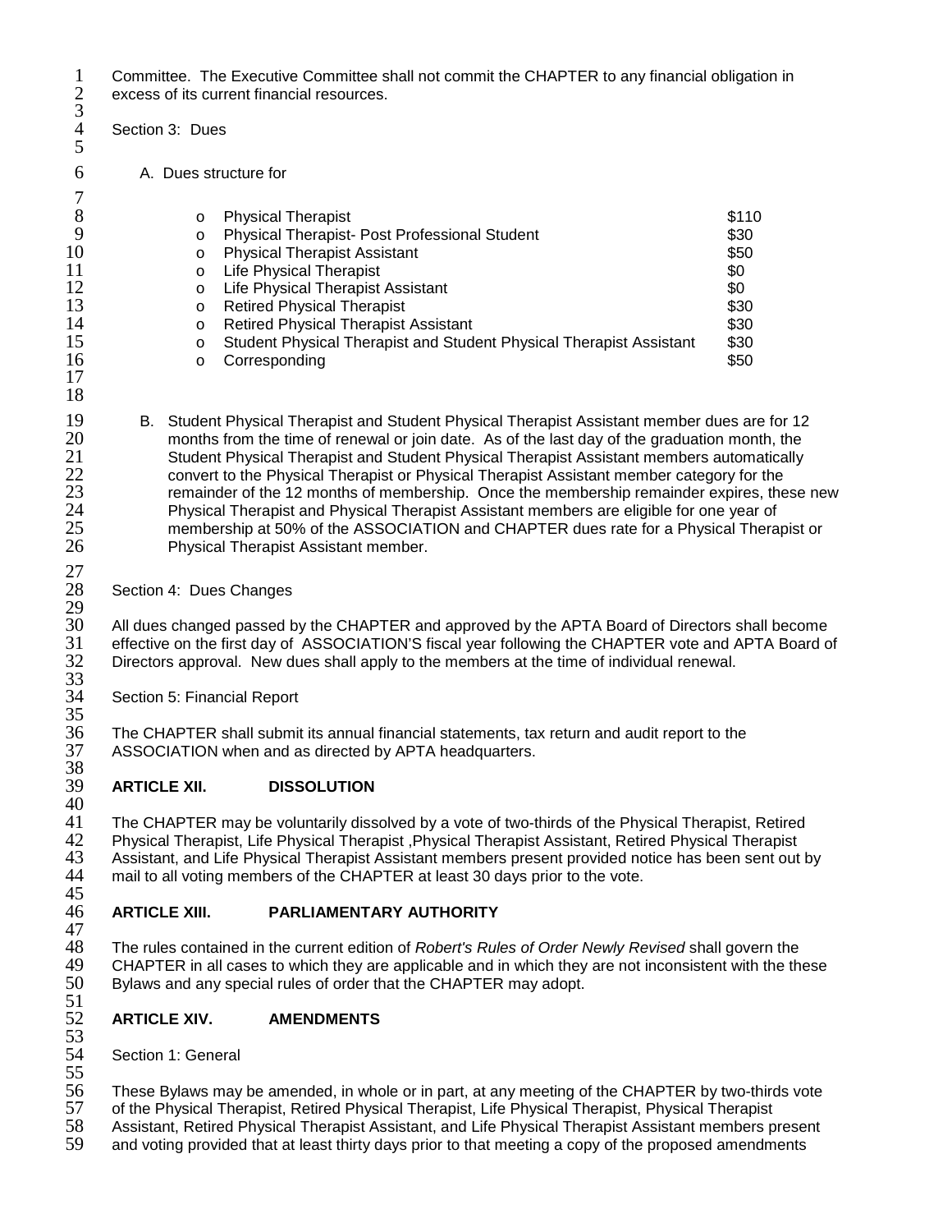1 Committee. The Executive Committee shall not commit the CHAPTER to any financial obligation in<br>2 excess of its current financial resources. excess of its current financial resources.

- Section 3: Dues
- 6 A. Dues structure for

|    | $\circ$  | <b>Physical Therapist</b>                                           | \$110 |
|----|----------|---------------------------------------------------------------------|-------|
|    | $\circ$  | Physical Therapist- Post Professional Student                       | \$30  |
| 10 | $\circ$  | <b>Physical Therapist Assistant</b>                                 | \$50  |
| 11 | $\Omega$ | <b>Life Physical Therapist</b>                                      | \$0   |
| 12 | $\Omega$ | Life Physical Therapist Assistant                                   | \$0   |
| 13 | $\circ$  | <b>Retired Physical Therapist</b>                                   | \$30  |
| 14 | $\circ$  | <b>Retired Physical Therapist Assistant</b>                         | \$30  |
| 15 | $\Omega$ | Student Physical Therapist and Student Physical Therapist Assistant | \$30  |
| 16 | ∩        | Corresponding                                                       | \$50  |
|    |          |                                                                     |       |

17 18

 $\frac{27}{28}$ 

 $\frac{3}{4}$ 

5

 $\begin{array}{c} 7 \\ 8 \end{array}$ 

- 19 B. Student Physical Therapist and Student Physical Therapist Assistant member dues are for 12<br>20 months from the time of renewal or ioin date. As of the last day of the graduation month. the 20 months from the time of renewal or join date. As of the last day of the graduation month, the<br>21 Student Physical Therapist and Student Physical Therapist Assistant members automatically 21 Student Physical Therapist and Student Physical Therapist Assistant members automatically<br>22 convert to the Physical Therapist or Physical Therapist Assistant member category for the 22 convert to the Physical Therapist or Physical Therapist Assistant member category for the<br>23 remainder of the 12 months of membership. Once the membership remainder expires, the remainder of the 12 months of membership. Once the membership remainder expires, these new 24 Physical Therapist and Physical Therapist Assistant members are eligible for one year of 25 membership at 50% of the ASSOCIATION and CHAPTER dues rate for a Physical Therapist or<br>26 Thysical Therapist Assistant member. Physical Therapist Assistant member.
	- Section 4: Dues Changes

 $\frac{29}{30}$ 30 All dues changed passed by the CHAPTER and approved by the APTA Board of Directors shall become<br>31 effective on the first day of ASSOCIATION'S fiscal year following the CHAPTER vote and APTA Board o 31 effective on the first day of ASSOCIATION'S fiscal year following the CHAPTER vote and APTA Board of Directors approval. New dues shall apply to the members at the time of individual renewal.  $\frac{32}{33}$ <br> $\frac{33}{34}$ 

Section 5: Financial Report

35<br>36 36 The CHAPTER shall submit its annual financial statements, tax return and audit report to the ASSOCIATION when and as directed by APTA headquarters.

## 38<br>39 39 **ARTICLE XII. DISSOLUTION**

40<br>41 41 The CHAPTER may be voluntarily dissolved by a vote of two-thirds of the Physical Therapist, Retired<br>42 Physical Therapist, Life Physical Therapist , Physical Therapist Assistant, Retired Physical Therapist 42 Physical Therapist, Life Physical Therapist ,Physical Therapist Assistant, Retired Physical Therapist 43 Assistant, and Life Physical Therapist Assistant members present provided notice has been sent out by<br>44 mail to all voting members of the CHAPTER at least 30 davs prior to the vote. mail to all voting members of the CHAPTER at least 30 days prior to the vote.

## 45<br>46 46 **ARTICLE XIII. PARLIAMENTARY AUTHORITY**

47 48 The rules contained in the current edition of *Robert's Rules of Order Newly Revised* shall govern the 49 CHAPTER in all cases to which they are applicable and in which they are not inconsistent with the these<br>50 Bylaws and any special rules of order that the CHAPTER may adopt. Bylaws and any special rules of order that the CHAPTER may adopt.

## 51<br>52 52 **ARTICLE XIV. AMENDMENTS**

53<br>54 Section 1: General

55<br>56 56 These Bylaws may be amended, in whole or in part, at any meeting of the CHAPTER by two-thirds vote

57 of the Physical Therapist, Retired Physical Therapist, Life Physical Therapist, Physical Therapist

58 Assistant, Retired Physical Therapist Assistant, and Life Physical Therapist Assistant members present and voting provided that at least thirty days prior to that meeting a copy of the proposed amendments